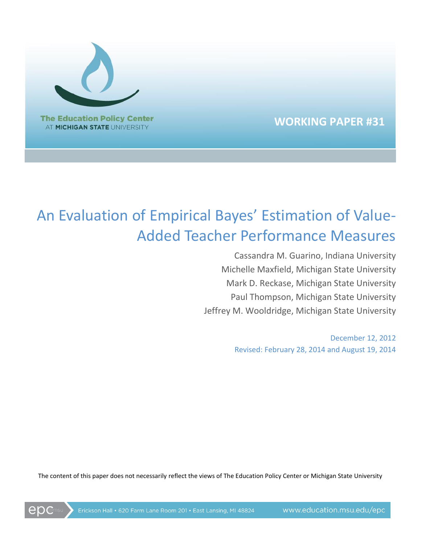

ep@

### **WORKING PAPER #31**

# An Evaluation of Empirical Bayes' Estimation of Value-Added Teacher Performance Measures

Cassandra M. Guarino, Indiana University Michelle Maxfield, Michigan State University Mark D. Reckase, Michigan State University Paul Thompson, Michigan State University Jeffrey M. Wooldridge, Michigan State University

> December 12, 2012 Revised: February 28, 2014 and August 19, 2014

The content of this paper does not necessarily reflect the views of The Education Policy Center or Michigan State University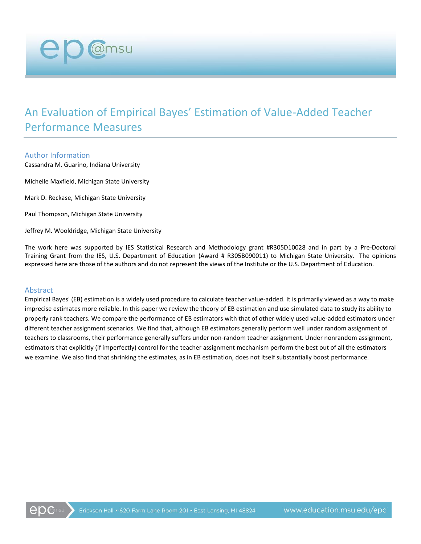## An Evaluation of Empirical Bayes' Estimation of Value-Added Teacher Performance Measures

#### Author Information

Cassandra M. Guarino, Indiana University

Michelle Maxfield, Michigan State University

@msu

Mark D. Reckase, Michigan State University

Paul Thompson, Michigan State University

Jeffrey M. Wooldridge, Michigan State University

The work here was supported by IES Statistical Research and Methodology grant #R305D10028 and in part by a Pre-Doctoral Training Grant from the IES, U.S. Department of Education (Award # R305B090011) to Michigan State University. The opinions expressed here are those of the authors and do not represent the views of the Institute or the U.S. Department of Education.

#### Abstract

Empirical Bayes' (EB) estimation is a widely used procedure to calculate teacher value-added. It is primarily viewed as a way to make imprecise estimates more reliable. In this paper we review the theory of EB estimation and use simulated data to study its ability to properly rank teachers. We compare the performance of EB estimators with that of other widely used value-added estimators under different teacher assignment scenarios. We find that, although EB estimators generally perform well under random assignment of teachers to classrooms, their performance generally suffers under non-random teacher assignment. Under nonrandom assignment, estimators that explicitly (if imperfectly) control for the teacher assignment mechanism perform the best out of all the estimators we examine. We also find that shrinking the estimates, as in EB estimation, does not itself substantially boost performance.

www.education.msu.edu/epc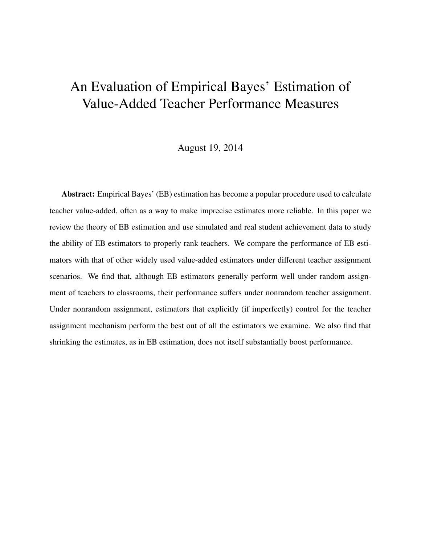## An Evaluation of Empirical Bayes' Estimation of Value-Added Teacher Performance Measures

### August 19, 2014

Abstract: Empirical Bayes' (EB) estimation has become a popular procedure used to calculate teacher value-added, often as a way to make imprecise estimates more reliable. In this paper we review the theory of EB estimation and use simulated and real student achievement data to study the ability of EB estimators to properly rank teachers. We compare the performance of EB estimators with that of other widely used value-added estimators under different teacher assignment scenarios. We find that, although EB estimators generally perform well under random assignment of teachers to classrooms, their performance suffers under nonrandom teacher assignment. Under nonrandom assignment, estimators that explicitly (if imperfectly) control for the teacher assignment mechanism perform the best out of all the estimators we examine. We also find that shrinking the estimates, as in EB estimation, does not itself substantially boost performance.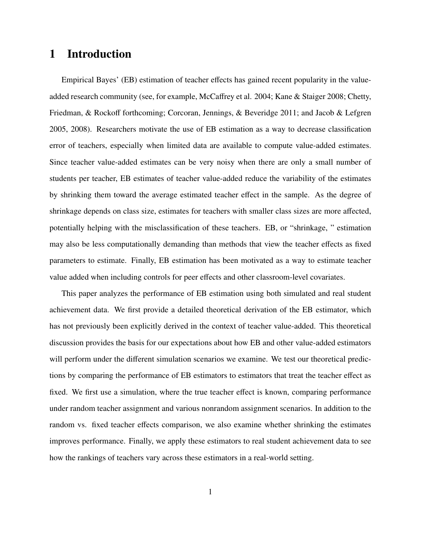### 1 Introduction

Empirical Bayes' (EB) estimation of teacher effects has gained recent popularity in the valueadded research community (see, for example, McCaffrey et al. 2004; Kane & Staiger 2008; Chetty, Friedman, & Rockoff forthcoming; Corcoran, Jennings, & Beveridge 2011; and Jacob & Lefgren 2005, 2008). Researchers motivate the use of EB estimation as a way to decrease classification error of teachers, especially when limited data are available to compute value-added estimates. Since teacher value-added estimates can be very noisy when there are only a small number of students per teacher, EB estimates of teacher value-added reduce the variability of the estimates by shrinking them toward the average estimated teacher effect in the sample. As the degree of shrinkage depends on class size, estimates for teachers with smaller class sizes are more affected, potentially helping with the misclassification of these teachers. EB, or "shrinkage, " estimation may also be less computationally demanding than methods that view the teacher effects as fixed parameters to estimate. Finally, EB estimation has been motivated as a way to estimate teacher value added when including controls for peer effects and other classroom-level covariates.

This paper analyzes the performance of EB estimation using both simulated and real student achievement data. We first provide a detailed theoretical derivation of the EB estimator, which has not previously been explicitly derived in the context of teacher value-added. This theoretical discussion provides the basis for our expectations about how EB and other value-added estimators will perform under the different simulation scenarios we examine. We test our theoretical predictions by comparing the performance of EB estimators to estimators that treat the teacher effect as fixed. We first use a simulation, where the true teacher effect is known, comparing performance under random teacher assignment and various nonrandom assignment scenarios. In addition to the random vs. fixed teacher effects comparison, we also examine whether shrinking the estimates improves performance. Finally, we apply these estimators to real student achievement data to see how the rankings of teachers vary across these estimators in a real-world setting.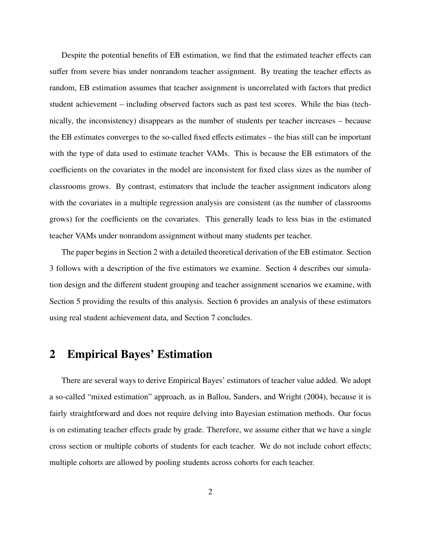Despite the potential benefits of EB estimation, we find that the estimated teacher effects can suffer from severe bias under nonrandom teacher assignment. By treating the teacher effects as random, EB estimation assumes that teacher assignment is uncorrelated with factors that predict student achievement – including observed factors such as past test scores. While the bias (technically, the inconsistency) disappears as the number of students per teacher increases – because the EB estimates converges to the so-called fixed effects estimates – the bias still can be important with the type of data used to estimate teacher VAMs. This is because the EB estimators of the coefficients on the covariates in the model are inconsistent for fixed class sizes as the number of classrooms grows. By contrast, estimators that include the teacher assignment indicators along with the covariates in a multiple regression analysis are consistent (as the number of classrooms grows) for the coefficients on the covariates. This generally leads to less bias in the estimated teacher VAMs under nonrandom assignment without many students per teacher.

The paper begins in Section 2 with a detailed theoretical derivation of the EB estimator. Section 3 follows with a description of the five estimators we examine. Section 4 describes our simulation design and the different student grouping and teacher assignment scenarios we examine, with Section 5 providing the results of this analysis. Section 6 provides an analysis of these estimators using real student achievement data, and Section 7 concludes.

### 2 Empirical Bayes' Estimation

There are several ways to derive Empirical Bayes' estimators of teacher value added. We adopt a so-called "mixed estimation" approach, as in Ballou, Sanders, and Wright (2004), because it is fairly straightforward and does not require delving into Bayesian estimation methods. Our focus is on estimating teacher effects grade by grade. Therefore, we assume either that we have a single cross section or multiple cohorts of students for each teacher. We do not include cohort effects; multiple cohorts are allowed by pooling students across cohorts for each teacher.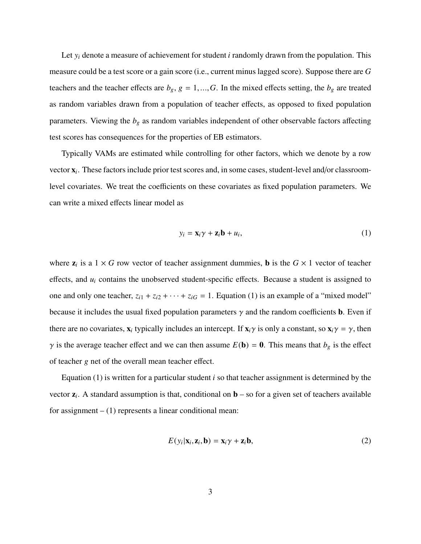Let  $y_i$  denote a measure of achievement for student *i* randomly drawn from the population. This measure could be a test score or a gain score (i.e., current minus lagged score). Suppose there are *G* teachers and the teacher effects are  $b_g$ ,  $g = 1, ..., G$ . In the mixed effects setting, the  $b_g$  are treated as random variables drawn from a population of teacher effects, as opposed to fixed population parameters. Viewing the  $b<sub>g</sub>$  as random variables independent of other observable factors affecting test scores has consequences for the properties of EB estimators.

Typically VAMs are estimated while controlling for other factors, which we denote by a row vector x*<sup>i</sup>* . These factors include prior test scores and, in some cases, student-level and/or classroomlevel covariates. We treat the coefficients on these covariates as fixed population parameters. We can write a mixed effects linear model as

$$
y_i = \mathbf{x}_i \gamma + \mathbf{z}_i \mathbf{b} + u_i,
$$
 (1)

where  $z_i$  is a  $1 \times G$  row vector of teacher assignment dummies, **b** is the  $G \times 1$  vector of teacher effects, and *u<sup>i</sup>* contains the unobserved student-specific effects. Because a student is assigned to one and only one teacher,  $z_{i1} + z_{i2} + \cdots + z_{iG} = 1$ . Equation (1) is an example of a "mixed model" because it includes the usual fixed population parameters  $\gamma$  and the random coefficients **b**. Even if there are no covariates,  $x_i$  typically includes an intercept. If  $x_i\gamma$  is only a constant, so  $x_i\gamma = \gamma$ , then γ is the average teacher effect and we can then assume  $E$ (**b**) = 0. This means that  $b_g$  is the effect of teacher g net of the overall mean teacher effect.

Equation (1) is written for a particular student *i* so that teacher assignment is determined by the vector  $z_i$ . A standard assumption is that, conditional on  $\mathbf{b}$  – so for a given set of teachers available for assignment  $- (1)$  represents a linear conditional mean:

$$
E(y_i|\mathbf{x}_i, \mathbf{z}_i, \mathbf{b}) = \mathbf{x}_i \gamma + \mathbf{z}_i \mathbf{b},
$$
 (2)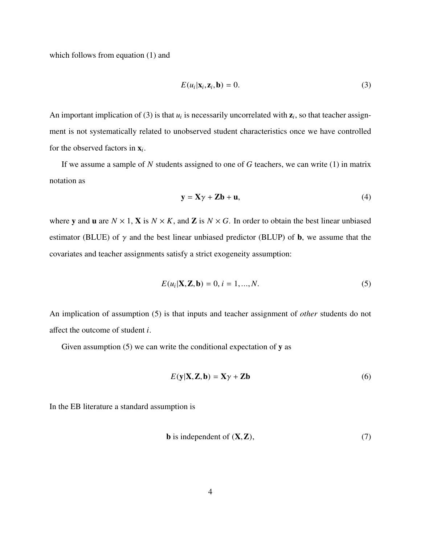which follows from equation (1) and

$$
E(u_i|\mathbf{x}_i, \mathbf{z}_i, \mathbf{b}) = 0. \tag{3}
$$

An important implication of (3) is that  $u_i$  is necessarily uncorrelated with  $z_i$ , so that teacher assignment is not systematically related to unobserved student characteristics once we have controlled for the observed factors in  $\mathbf{x}_i$ .

If we assume a sample of *N* students assigned to one of *G* teachers, we can write (1) in matrix notation as

$$
y = X\gamma + Zb + u,\tag{4}
$$

where y and **u** are  $N \times 1$ , X is  $N \times K$ , and Z is  $N \times G$ . In order to obtain the best linear unbiased estimator (BLUE) of  $\gamma$  and the best linear unbiased predictor (BLUP) of **b**, we assume that the covariates and teacher assignments satisfy a strict exogeneity assumption:

$$
E(u_i|\mathbf{X}, \mathbf{Z}, \mathbf{b}) = 0, i = 1, ..., N.
$$
 (5)

An implication of assumption (5) is that inputs and teacher assignment of *other* students do not affect the outcome of student *i*.

Given assumption  $(5)$  we can write the conditional expectation of y as

$$
E(\mathbf{y}|\mathbf{X}, \mathbf{Z}, \mathbf{b}) = \mathbf{X}\gamma + \mathbf{Z}\mathbf{b}
$$
 (6)

In the EB literature a standard assumption is

**b** is independent of 
$$
(X, Z)
$$
,  $(7)$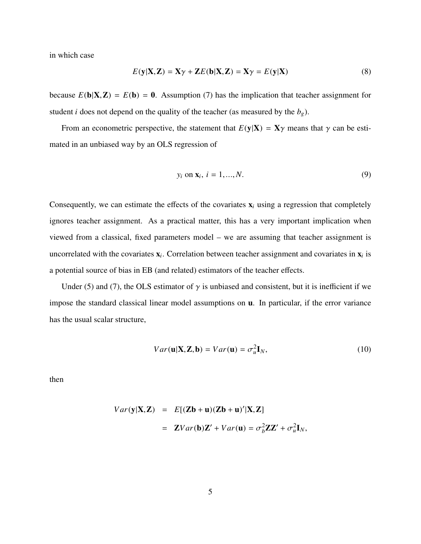in which case

$$
E(\mathbf{y}|\mathbf{X},\mathbf{Z}) = \mathbf{X}\gamma + \mathbf{Z}E(\mathbf{b}|\mathbf{X},\mathbf{Z}) = \mathbf{X}\gamma = E(\mathbf{y}|\mathbf{X})
$$
\n(8)

because  $E(b|X, Z) = E(b) = 0$ . Assumption (7) has the implication that teacher assignment for student *i* does not depend on the quality of the teacher (as measured by the  $b_g$ ).

From an econometric perspective, the statement that  $E(y|X) = X\gamma$  means that  $\gamma$  can be estimated in an unbiased way by an OLS regression of

$$
y_i \text{ on } \mathbf{x}_i, \ i = 1, \dots, N. \tag{9}
$$

Consequently, we can estimate the effects of the covariates  $x_i$  using a regression that completely ignores teacher assignment. As a practical matter, this has a very important implication when viewed from a classical, fixed parameters model – we are assuming that teacher assignment is uncorrelated with the covariates  $\mathbf{x}_i$ . Correlation between teacher assignment and covariates in  $\mathbf{x}_i$  is a potential source of bias in EB (and related) estimators of the teacher effects.

Under (5) and (7), the OLS estimator of  $\gamma$  is unbiased and consistent, but it is inefficient if we impose the standard classical linear model assumptions on u. In particular, if the error variance has the usual scalar structure,

$$
Var(\mathbf{u}|\mathbf{X}, \mathbf{Z}, \mathbf{b}) = Var(\mathbf{u}) = \sigma_u^2 \mathbf{I}_N,
$$
\n(10)

then

$$
Var(\mathbf{y}|\mathbf{X}, \mathbf{Z}) = E[(\mathbf{Z}\mathbf{b} + \mathbf{u})(\mathbf{Z}\mathbf{b} + \mathbf{u})'|\mathbf{X}, \mathbf{Z}]
$$
  
=  $\mathbf{Z}Var(\mathbf{b})\mathbf{Z}' + Var(\mathbf{u}) = \sigma_b^2 \mathbf{Z}\mathbf{Z}' + \sigma_u^2 \mathbf{I}_N,$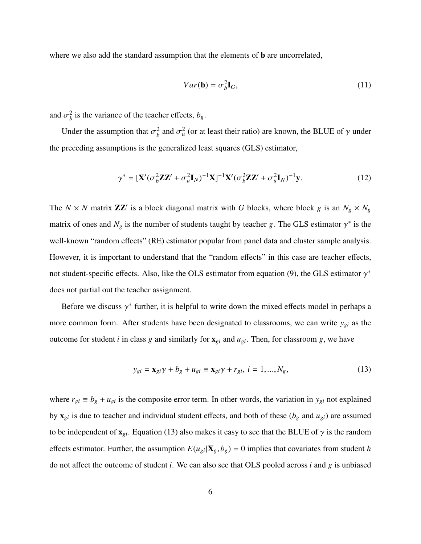where we also add the standard assumption that the elements of **b** are uncorrelated,

$$
Var(\mathbf{b}) = \sigma_b^2 \mathbf{I}_G,\tag{11}
$$

and  $\sigma_b^2$  $\frac{1}{b}$  is the variance of the teacher effects,  $b_g$ .

Under the assumption that  $\sigma_b^2$  $\frac{2}{b}$  and  $\sigma_u^2$  (or at least their ratio) are known, the BLUE of  $\gamma$  under the preceding assumptions is the generalized least squares (GLS) estimator,

$$
\gamma^* = [\mathbf{X}'(\sigma_b^2 \mathbf{Z} \mathbf{Z}' + \sigma_u^2 \mathbf{I}_N)^{-1} \mathbf{X}]^{-1} \mathbf{X}'(\sigma_b^2 \mathbf{Z} \mathbf{Z}' + \sigma_u^2 \mathbf{I}_N)^{-1} \mathbf{y}.
$$
 (12)

The *N* × *N* matrix **ZZ'** is a block diagonal matrix with *G* blocks, where block *g* is an  $N_g \times N_g$ matrix of ones and  $N_g$  is the number of students taught by teacher g. The GLS estimator  $\gamma^*$  is the well-known "random effects" (RE) estimator popular from panel data and cluster sample analysis. However, it is important to understand that the "random effects" in this case are teacher effects, not student-specific effects. Also, like the OLS estimator from equation (9), the GLS estimator  $\gamma^*$ does not partial out the teacher assignment.

Before we discuss  $\gamma^*$  further, it is helpful to write down the mixed effects model in perhaps a more common form. After students have been designated to classrooms, we can write  $y_{gi}$  as the outcome for student *i* in class g and similarly for  $\mathbf{x}_{gi}$  and  $u_{gi}$ . Then, for classroom g, we have

$$
y_{gi} = \mathbf{x}_{gi}\gamma + b_g + u_{gi} \equiv \mathbf{x}_{gi}\gamma + r_{gi}, i = 1, ..., N_g,
$$
 (13)

where  $r_{gi} \equiv b_g + u_{gi}$  is the composite error term. In other words, the variation in  $y_{gi}$  not explained by  $\mathbf{x}_{gi}$  is due to teacher and individual student effects, and both of these ( $b_g$  and  $u_{gi}$ ) are assumed to be independent of  $\mathbf{x}_{gi}$ . Equation (13) also makes it easy to see that the BLUE of  $\gamma$  is the random effects estimator. Further, the assumption  $E(u_{gi}|\mathbf{X}_g, b_g) = 0$  implies that covariates from student *h* do not affect the outcome of student *i*. We can also see that OLS pooled across *i* and g is unbiased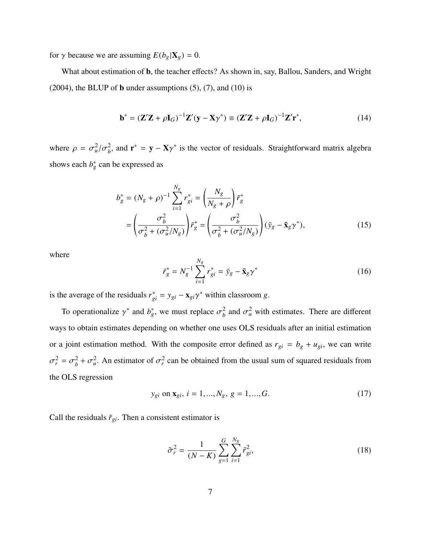for  $\gamma$  because we are assuming  $E(b_g | \mathbf{X}_g) = 0$ .

What about estimation of **b**, the teacher effects? As shown in, say, Ballou, Sanders, and Wright  $(2004)$ , the BLUP of **b** under assumptions  $(5)$ ,  $(7)$ , and  $(10)$  is

$$
\mathbf{b}^* = (\mathbf{Z}'\mathbf{Z} + \rho \mathbf{I}_G)^{-1} \mathbf{Z}' (\mathbf{y} - \mathbf{X} \gamma^*) \equiv (\mathbf{Z}'\mathbf{Z} + \rho \mathbf{I}_G)^{-1} \mathbf{Z}' \mathbf{r}^*,
$$
 (14)

where  $\rho = \sigma_u^2/\sigma_b^2$ , and  $\mathbf{r}^* = \mathbf{y} - \mathbf{X}\gamma^*$  is the vector of residuals. Straightforward matrix algebra shows each  $b_g^*$  can be expressed as

$$
b_g^* = (N_g + \rho)^{-1} \sum_{i=1}^{N_g} r_{gi}^* = \left(\frac{N_g}{N_g + \rho}\right) \bar{r}_g^*
$$
  
= 
$$
\left(\frac{\sigma_b^2}{\sigma_b^2 + (\sigma_u^2/N_g)}\right) \bar{r}_g^* = \left(\frac{\sigma_b^2}{\sigma_b^2 + (\sigma_u^2/N_g)}\right) (\bar{y}_g - \bar{\mathbf{x}}_g \gamma^*),
$$
(15)

where

$$
\bar{r}_g^* = N_g^{-1} \sum_{i=1}^{N_g} r_{gi}^* = \bar{y}_g - \bar{x}_g \gamma^*
$$
 (16)

is the average of the residuals  $r^*_{\sigma}$  $g_{gi}^* = y_{gi} - \mathbf{x}_{gi} \gamma^*$  within classroom *g*.

To operationalize  $\gamma^*$  and  $b_g^*$ , we must replace  $\sigma_b^2$  $\frac{2}{b}$  and  $\sigma_u^2$  with estimates. There are different ways to obtain estimates depending on whether one uses OLS residuals after an initial estimation or a joint estimation method. With the composite error defined as  $r_{gi} = b_g + u_{gi}$ , we can write  $\sigma_b^2 = \sigma_b^2$  $\sigma_b^2 + \sigma_u^2$ . An estimator of  $\sigma_r^2$  can be obtained from the usual sum of squared residuals from the OLS regression

$$
y_{gi} \text{ on } \mathbf{x}_{gi}, \ i = 1, ..., N_g, \ g = 1, ..., G. \tag{17}
$$

Call the residuals  $\tilde{r}_{gi}$ . Then a consistent estimator is

$$
\tilde{\sigma}_r^2 = \frac{1}{(N-K)} \sum_{g=1}^G \sum_{i=1}^{N_g} \tilde{r}_{gi}^2,
$$
\n(18)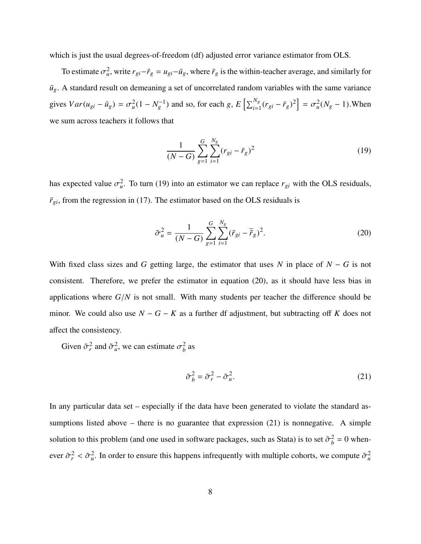which is just the usual degrees-of-freedom (df) adjusted error variance estimator from OLS.

To estimate  $\sigma_u^2$ , write  $r_{gi}-\bar{r}_g = u_{gi}-\bar{u}_g$ , where  $\bar{r}_g$  is the within-teacher average, and similarly for  $\bar{u}_g$ . A standard result on demeaning a set of uncorrelated random variables with the same variance gives  $Var(u_{gi} - \bar{u}_g) = \sigma_u^2(1 - N_g^{-1})$  and so, for each g, *E* f $\sum_{i=1}^{N_g} (r_{gi} - \bar{r}_g)^2$ l<br>L  $= \sigma_u^2(N_g - 1)$ . When we sum across teachers it follows that

$$
\frac{1}{(N-G)}\sum_{g=1}^{G}\sum_{i=1}^{N_g}(r_{gi}-\bar{r}_g)^2
$$
\n(19)

has expected value  $\sigma_u^2$ . To turn (19) into an estimator we can replace  $r_{gi}$  with the OLS residuals,  $\tilde{r}_{gi}$ , from the regression in (17). The estimator based on the OLS residuals is

$$
\tilde{\sigma}_u^2 = \frac{1}{(N-G)} \sum_{g=1}^G \sum_{i=1}^{N_g} (\tilde{r}_{gi} - \overline{\tilde{r}}_g)^2.
$$
 (20)

With fixed class sizes and *G* getting large, the estimator that uses *N* in place of  $N - G$  is not consistent. Therefore, we prefer the estimator in equation (20), as it should have less bias in applications where *<sup>G</sup>*/*<sup>N</sup>* is not small. With many students per teacher the difference should be minor. We could also use  $N - G - K$  as a further df adjustment, but subtracting off *K* does not affect the consistency.

Given  $\tilde{\sigma}_r^2$  and  $\tilde{\sigma}_u^2$ , we can estimate  $\sigma_b^2$  $\frac{2}{b}$  as

$$
\tilde{\sigma}_b^2 = \tilde{\sigma}_r^2 - \tilde{\sigma}_u^2. \tag{21}
$$

In any particular data set – especially if the data have been generated to violate the standard assumptions listed above – there is no guarantee that expression  $(21)$  is nonnegative. A simple solution to this problem (and one used in software packages, such as Stata) is to set  $\tilde{\sigma}_b^2$  $\lambda_b^2 = 0$  whenever  $\tilde{\sigma}_r^2 < \tilde{\sigma}_u^2$ . In order to ensure this happens infrequently with multiple cohorts, we compute  $\tilde{\sigma}_u^2$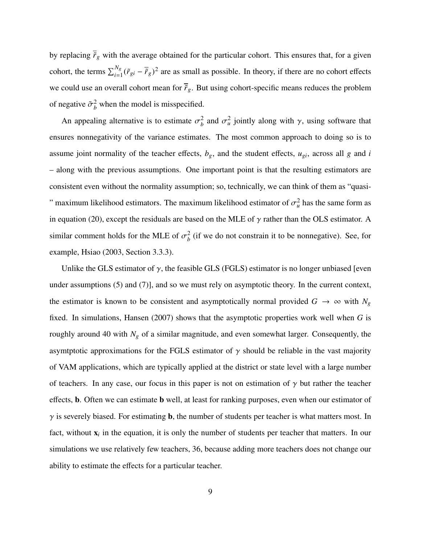by replacing  $\bar{r}_g$  with the average obtained for the particular cohort. This ensures that, for a given cohort, the terms  $\sum_{i=1}^{N_g} (\tilde{r}_{gi} - \overline{\tilde{r}}_g)^2$  are as small as possible. In theory, if there are no cohort effects we could use an overall cohort mean for  $\bar{r}_g$ . But using cohort-specific means reduces the problem of negative  $\tilde{\sigma}_b^2$  when the model is misspecified.

An appealing alternative is to estimate  $\sigma_b^2$  $\int_b^2$  and  $\sigma_u^2$  jointly along with  $\gamma$ , using software that ensures nonnegativity of the variance estimates. The most common approach to doing so is to assume joint normality of the teacher effects,  $b_g$ , and the student effects,  $u_{gi}$ , across all g and *i* – along with the previous assumptions. One important point is that the resulting estimators are consistent even without the normality assumption; so, technically, we can think of them as "quasi- " maximum likelihood estimators. The maximum likelihood estimator of  $\sigma_u^2$  has the same form as in equation (20), except the residuals are based on the MLE of  $\gamma$  rather than the OLS estimator. A similar comment holds for the MLE of  $\sigma_b^2$  $\frac{2}{b}$  (if we do not constrain it to be nonnegative). See, for example, Hsiao (2003, Section 3.3.3).

Unlike the GLS estimator of  $\gamma$ , the feasible GLS (FGLS) estimator is no longer unbiased [even under assumptions (5) and (7)], and so we must rely on asymptotic theory. In the current context, the estimator is known to be consistent and asymptotically normal provided  $G \rightarrow \infty$  with  $N_g$ fixed. In simulations, Hansen (2007) shows that the asymptotic properties work well when *G* is roughly around 40 with  $N_g$  of a similar magnitude, and even somewhat larger. Consequently, the asymtptotic approximations for the FGLS estimator of  $\gamma$  should be reliable in the vast majority of VAM applications, which are typically applied at the district or state level with a large number of teachers. In any case, our focus in this paper is not on estimation of  $\gamma$  but rather the teacher effects, b. Often we can estimate b well, at least for ranking purposes, even when our estimator of  $\gamma$  is severely biased. For estimating **b**, the number of students per teacher is what matters most. In fact, without  $x_i$  in the equation, it is only the number of students per teacher that matters. In our simulations we use relatively few teachers, 36, because adding more teachers does not change our ability to estimate the effects for a particular teacher.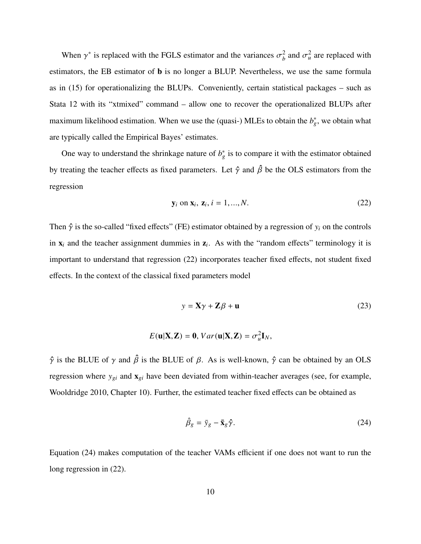When  $\gamma^*$  is replaced with the FGLS estimator and the variances  $\sigma_b^2$  $\frac{2}{b}$  and  $\sigma_u^2$  are replaced with estimators, the EB estimator of **b** is no longer a BLUP. Nevertheless, we use the same formula as in (15) for operationalizing the BLUPs. Conveniently, certain statistical packages – such as Stata 12 with its "xtmixed" command – allow one to recover the operationalized BLUPs after maximum likelihood estimation. When we use the (quasi-) MLEs to obtain the  $b_g^*$ , we obtain what are typically called the Empirical Bayes' estimates.

One way to understand the shrinkage nature of  $b_g^*$  is to compare it with the estimator obtained by treating the teacher effects as fixed parameters. Let  $\hat{\gamma}$  and  $\hat{\beta}$  be the OLS estimators from the regression

$$
\mathbf{y}_i \text{ on } \mathbf{x}_i, \mathbf{z}_i, i = 1, \dots, N. \tag{22}
$$

Then  $\hat{\gamma}$  is the so-called "fixed effects" (FE) estimator obtained by a regression of  $y_i$  on the controls in  $x_i$  and the teacher assignment dummies in  $z_i$ . As with the "random effects" terminology it is important to understand that regression (22) incorporates teacher fixed effects, not student fixed effects. In the context of the classical fixed parameters model

$$
y = \mathbf{X}\gamma + \mathbf{Z}\beta + \mathbf{u}
$$
 (23)

$$
E(\mathbf{u}|\mathbf{X},\mathbf{Z})=\mathbf{0}, Var(\mathbf{u}|\mathbf{X},\mathbf{Z})=\sigma_u^2\mathbf{I}_N,
$$

 $\hat{\gamma}$  is the BLUE of  $\gamma$  and  $\hat{\beta}$  is the BLUE of  $\beta$ . As is well-known,  $\hat{\gamma}$  can be obtained by an OLS regression where yg*<sup>i</sup>* and xg*<sup>i</sup>* have been deviated from within-teacher averages (see, for example, Wooldridge 2010, Chapter 10). Further, the estimated teacher fixed effects can be obtained as

$$
\hat{\beta}_g = \bar{y}_g - \bar{\mathbf{x}}_g \hat{\boldsymbol{\gamma}}.\tag{24}
$$

Equation (24) makes computation of the teacher VAMs efficient if one does not want to run the long regression in (22).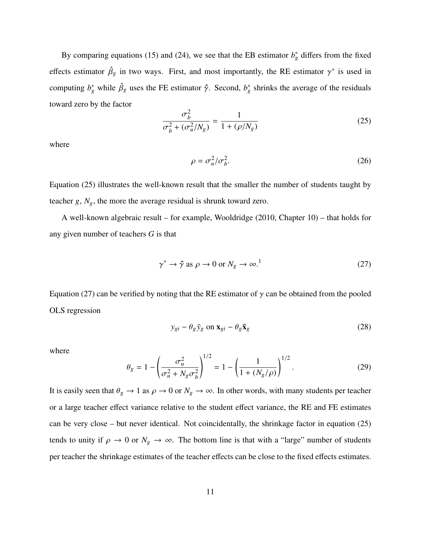By comparing equations (15) and (24), we see that the EB estimator  $b_g^*$  differs from the fixed effects estimator  $\hat{\beta}_g$  in two ways. First, and most importantly, the RE estimator  $\gamma^*$  is used in computing  $b_g^*$  while  $\hat{\beta}_g$  uses the FE estimator  $\hat{\gamma}$ . Second,  $b_g^*$  shrinks the average of the residuals toward zero by the factor

$$
\frac{\sigma_b^2}{\sigma_b^2 + (\sigma_u^2/N_g)} = \frac{1}{1 + (\rho/N_g)}
$$
(25)

where

$$
\rho = \sigma_u^2 / \sigma_b^2. \tag{26}
$$

Equation (25) illustrates the well-known result that the smaller the number of students taught by teacher  $g$ ,  $N_g$ , the more the average residual is shrunk toward zero.

A well-known algebraic result – for example, Wooldridge (2010, Chapter 10) – that holds for any given number of teachers *G* is that

$$
\gamma^* \to \hat{\gamma} \text{ as } \rho \to 0 \text{ or } N_g \to \infty.
$$
 (27)

Equation (27) can be verified by noting that the RE estimator of  $\gamma$  can be obtained from the pooled OLS regression

$$
y_{gi} - \theta_g \bar{y}_g \text{ on } \mathbf{x}_{gi} - \theta_g \bar{\mathbf{x}}_g \tag{28}
$$

where

$$
\theta_g = 1 - \left(\frac{\sigma_u^2}{\sigma_u^2 + N_g \sigma_b^2}\right)^{1/2} = 1 - \left(\frac{1}{1 + (N_g/\rho)}\right)^{1/2}.
$$
 (29)

It is easily seen that  $\theta_g \to 1$  as  $\rho \to 0$  or  $N_g \to \infty$ . In other words, with many students per teacher or a large teacher effect variance relative to the student effect variance, the RE and FE estimates can be very close – but never identical. Not coincidentally, the shrinkage factor in equation (25) tends to unity if  $\rho \to 0$  or  $N_g \to \infty$ . The bottom line is that with a "large" number of students per teacher the shrinkage estimates of the teacher effects can be close to the fixed effects estimates.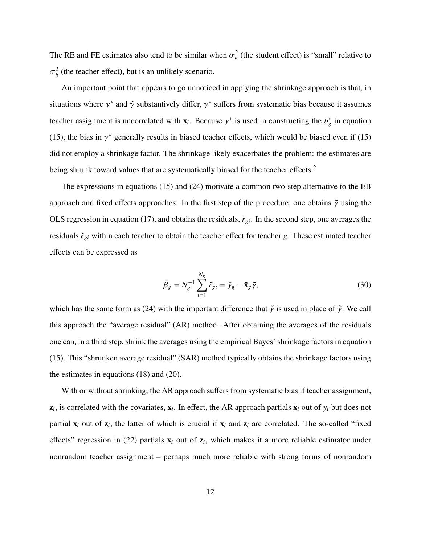The RE and FE estimates also tend to be similar when  $\sigma_u^2$  (the student effect) is "small" relative to 2  $\frac{2}{b}$  (the teacher effect), but is an unlikely scenario.

An important point that appears to go unnoticed in applying the shrinkage approach is that, in situations where  $\gamma^*$  and  $\hat{\gamma}$  substantively differ,  $\gamma^*$  suffers from systematic bias because it assumes teacher assignment is uncorrelated with  $\mathbf{x}_i$ . Because  $\gamma^*$  is used in constructing the  $b_g^*$  in equation (15), the bias in  $\gamma^*$  generally results in biased teacher effects, which would be biased even if (15) did not employ a shrinkage factor. The shrinkage likely exacerbates the problem: the estimates are being shrunk toward values that are systematically biased for the teacher effects.<sup>2</sup>

The expressions in equations (15) and (24) motivate a common two-step alternative to the EB approach and fixed effects approaches. In the first step of the procedure, one obtains  $\tilde{\gamma}$  using the OLS regression in equation (17), and obtains the residuals,  $\tilde{r}_{gi}$ . In the second step, one averages the residuals  $\tilde{r}_{gi}$  within each teacher to obtain the teacher effect for teacher g. These estimated teacher effects can be expressed as

$$
\tilde{\beta}_g = N_g^{-1} \sum_{i=1}^{N_g} \tilde{r}_{gi} = \bar{y}_g - \bar{\mathbf{x}}_g \tilde{\gamma},
$$
\n(30)

which has the same form as (24) with the important difference that  $\tilde{\gamma}$  is used in place of  $\hat{\gamma}$ . We call this approach the "average residual" (AR) method. After obtaining the averages of the residuals one can, in a third step, shrink the averages using the empirical Bayes' shrinkage factors in equation (15). This "shrunken average residual" (SAR) method typically obtains the shrinkage factors using the estimates in equations (18) and (20).

With or without shrinking, the AR approach suffers from systematic bias if teacher assignment,  $z_i$ , is correlated with the covariates,  $x_i$ . In effect, the AR approach partials  $x_i$  out of  $y_i$  but does not partial  $\mathbf{x}_i$  out of  $\mathbf{z}_i$ , the latter of which is crucial if  $\mathbf{x}_i$  and  $\mathbf{z}_i$  are correlated. The so-called "fixed effects" regression in (22) partials x*<sup>i</sup>* out of z*<sup>i</sup>* , which makes it a more reliable estimator under nonrandom teacher assignment – perhaps much more reliable with strong forms of nonrandom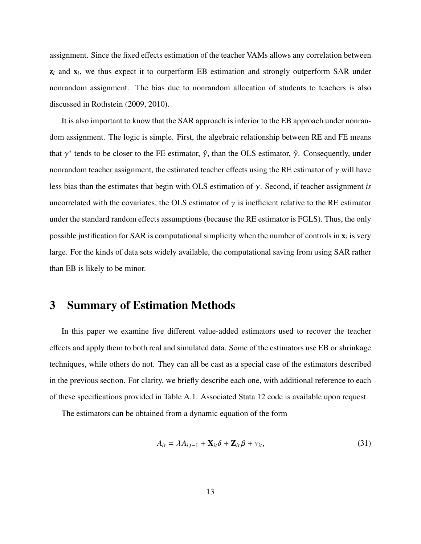assignment. Since the fixed effects estimation of the teacher VAMs allows any correlation between  $z_i$  and  $x_i$ , we thus expect it to outperform EB estimation and strongly outperform SAR under nonrandom assignment. The bias due to nonrandom allocation of students to teachers is also discussed in Rothstein (2009, 2010).

It is also important to know that the SAR approach is inferior to the EB approach under nonrandom assignment. The logic is simple. First, the algebraic relationship between RE and FE means that  $\gamma^*$  tends to be closer to the FE estimator,  $\hat{\gamma}$ , than the OLS estimator,  $\tilde{\gamma}$ . Consequently, under nonrandom teacher assignment, the estimated teacher effects using the RE estimator of  $\gamma$  will have less bias than the estimates that begin with OLS estimation of γ. Second, if teacher assignment *is* uncorrelated with the covariates, the OLS estimator of  $\gamma$  is inefficient relative to the RE estimator under the standard random effects assumptions (because the RE estimator is FGLS). Thus, the only possible justification for SAR is computational simplicity when the number of controls in x*<sup>i</sup>* is very large. For the kinds of data sets widely available, the computational saving from using SAR rather than EB is likely to be minor.

### 3 Summary of Estimation Methods

In this paper we examine five different value-added estimators used to recover the teacher effects and apply them to both real and simulated data. Some of the estimators use EB or shrinkage techniques, while others do not. They can all be cast as a special case of the estimators described in the previous section. For clarity, we briefly describe each one, with additional reference to each of these specifications provided in Table A.1. Associated Stata 12 code is available upon request.

The estimators can be obtained from a dynamic equation of the form

$$
A_{it} = \lambda A_{i,t-1} + \mathbf{X}_{it} \delta + \mathbf{Z}_{it} \beta + v_{it}, \qquad (31)
$$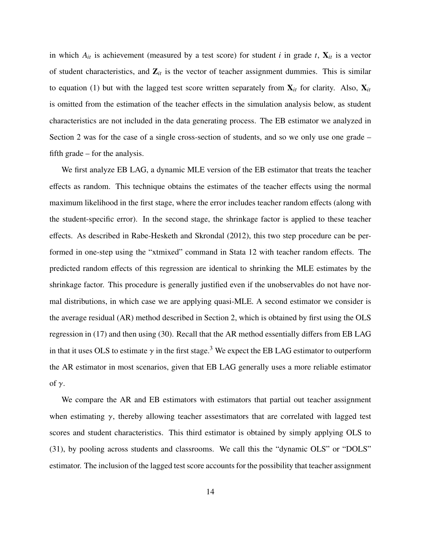in which  $A_{it}$  is achievement (measured by a test score) for student *i* in grade *t*,  $X_{it}$  is a vector of student characteristics, and Z*it* is the vector of teacher assignment dummies. This is similar to equation (1) but with the lagged test score written separately from  $X_{it}$  for clarity. Also,  $X_{it}$ is omitted from the estimation of the teacher effects in the simulation analysis below, as student characteristics are not included in the data generating process. The EB estimator we analyzed in Section 2 was for the case of a single cross-section of students, and so we only use one grade – fifth grade – for the analysis.

We first analyze EB LAG, a dynamic MLE version of the EB estimator that treats the teacher effects as random. This technique obtains the estimates of the teacher effects using the normal maximum likelihood in the first stage, where the error includes teacher random effects (along with the student-specific error). In the second stage, the shrinkage factor is applied to these teacher effects. As described in Rabe-Hesketh and Skrondal (2012), this two step procedure can be performed in one-step using the "xtmixed" command in Stata 12 with teacher random effects. The predicted random effects of this regression are identical to shrinking the MLE estimates by the shrinkage factor. This procedure is generally justified even if the unobservables do not have normal distributions, in which case we are applying quasi-MLE. A second estimator we consider is the average residual (AR) method described in Section 2, which is obtained by first using the OLS regression in (17) and then using (30). Recall that the AR method essentially differs from EB LAG in that it uses OLS to estimate  $\gamma$  in the first stage.<sup>3</sup> We expect the EB LAG estimator to outperform the AR estimator in most scenarios, given that EB LAG generally uses a more reliable estimator of  $γ$ .

We compare the AR and EB estimators with estimators that partial out teacher assignment when estimating  $\gamma$ , thereby allowing teacher assestimators that are correlated with lagged test scores and student characteristics. This third estimator is obtained by simply applying OLS to (31), by pooling across students and classrooms. We call this the "dynamic OLS" or "DOLS" estimator. The inclusion of the lagged test score accounts for the possibility that teacher assignment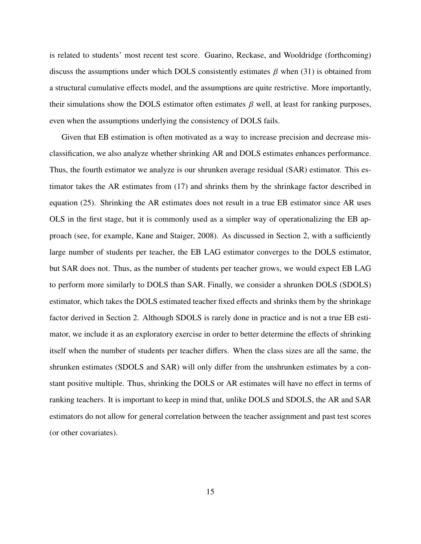is related to students' most recent test score. Guarino, Reckase, and Wooldridge (forthcoming) discuss the assumptions under which DOLS consistently estimates  $\beta$  when (31) is obtained from a structural cumulative effects model, and the assumptions are quite restrictive. More importantly, their simulations show the DOLS estimator often estimates  $\beta$  well, at least for ranking purposes, even when the assumptions underlying the consistency of DOLS fails.

Given that EB estimation is often motivated as a way to increase precision and decrease misclassification, we also analyze whether shrinking AR and DOLS estimates enhances performance. Thus, the fourth estimator we analyze is our shrunken average residual (SAR) estimator. This estimator takes the AR estimates from (17) and shrinks them by the shrinkage factor described in equation (25). Shrinking the AR estimates does not result in a true EB estimator since AR uses OLS in the first stage, but it is commonly used as a simpler way of operationalizing the EB approach (see, for example, Kane and Staiger, 2008). As discussed in Section 2, with a sufficiently large number of students per teacher, the EB LAG estimator converges to the DOLS estimator, but SAR does not. Thus, as the number of students per teacher grows, we would expect EB LAG to perform more similarly to DOLS than SAR. Finally, we consider a shrunken DOLS (SDOLS) estimator, which takes the DOLS estimated teacher fixed effects and shrinks them by the shrinkage factor derived in Section 2. Although SDOLS is rarely done in practice and is not a true EB estimator, we include it as an exploratory exercise in order to better determine the effects of shrinking itself when the number of students per teacher differs. When the class sizes are all the same, the shrunken estimates (SDOLS and SAR) will only differ from the unshrunken estimates by a constant positive multiple. Thus, shrinking the DOLS or AR estimates will have no effect in terms of ranking teachers. It is important to keep in mind that, unlike DOLS and SDOLS, the AR and SAR estimators do not allow for general correlation between the teacher assignment and past test scores (or other covariates).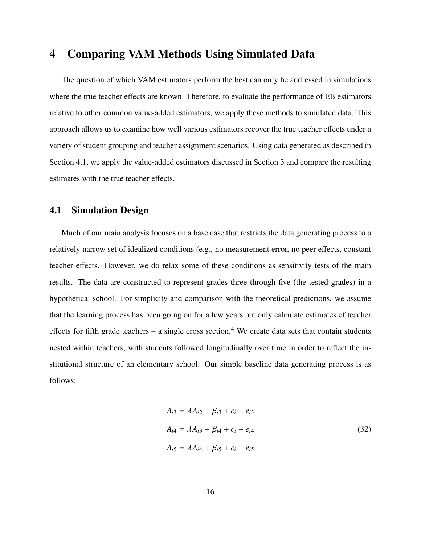### 4 Comparing VAM Methods Using Simulated Data

The question of which VAM estimators perform the best can only be addressed in simulations where the true teacher effects are known. Therefore, to evaluate the performance of EB estimators relative to other common value-added estimators, we apply these methods to simulated data. This approach allows us to examine how well various estimators recover the true teacher effects under a variety of student grouping and teacher assignment scenarios. Using data generated as described in Section 4.1, we apply the value-added estimators discussed in Section 3 and compare the resulting estimates with the true teacher effects.

#### 4.1 Simulation Design

Much of our main analysis focuses on a base case that restricts the data generating process to a relatively narrow set of idealized conditions (e.g., no measurement error, no peer effects, constant teacher effects. However, we do relax some of these conditions as sensitivity tests of the main results. The data are constructed to represent grades three through five (the tested grades) in a hypothetical school. For simplicity and comparison with the theoretical predictions, we assume that the learning process has been going on for a few years but only calculate estimates of teacher effects for fifth grade teachers – a single cross section.<sup>4</sup> We create data sets that contain students nested within teachers, with students followed longitudinally over time in order to reflect the institutional structure of an elementary school. Our simple baseline data generating process is as follows:

$$
A_{i3} = \lambda A_{i2} + \beta_{i3} + c_i + e_{i3}
$$
  
\n
$$
A_{i4} = \lambda A_{i3} + \beta_{i4} + c_i + e_{i4}
$$
  
\n
$$
A_{i5} = \lambda A_{i4} + \beta_{i5} + c_i + e_{i5}
$$
\n(32)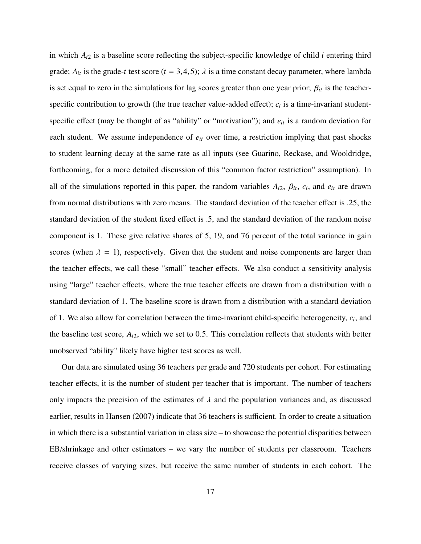in which *Ai*<sup>2</sup> is a baseline score reflecting the subject-specific knowledge of child *i* entering third grade;  $A_{it}$  is the grade-*t* test score ( $t = 3, 4, 5$ );  $\lambda$  is a time constant decay parameter, where lambda is set equal to zero in the simulations for lag scores greater than one year prior;  $\beta_{it}$  is the teacherspecific contribution to growth (the true teacher value-added effect);  $c_i$  is a time-invariant studentspecific effect (may be thought of as "ability" or "motivation"); and  $e_{it}$  is a random deviation for each student. We assume independence of  $e_{it}$  over time, a restriction implying that past shocks to student learning decay at the same rate as all inputs (see Guarino, Reckase, and Wooldridge, forthcoming, for a more detailed discussion of this "common factor restriction" assumption). In all of the simulations reported in this paper, the random variables  $A_{i2}$ ,  $\beta_{it}$ ,  $c_i$ , and  $e_{it}$  are drawn from normal distributions with zero means. The standard deviation of the teacher effect is .25, the standard deviation of the student fixed effect is .5, and the standard deviation of the random noise component is 1. These give relative shares of 5, 19, and 76 percent of the total variance in gain scores (when  $\lambda = 1$ ), respectively. Given that the student and noise components are larger than the teacher effects, we call these "small" teacher effects. We also conduct a sensitivity analysis using "large" teacher effects, where the true teacher effects are drawn from a distribution with a standard deviation of 1. The baseline score is drawn from a distribution with a standard deviation of 1. We also allow for correlation between the time-invariant child-specific heterogeneity, *c<sup>i</sup>* , and the baseline test score,  $A_{i2}$ , which we set to 0.5. This correlation reflects that students with better unobserved "ability" likely have higher test scores as well.

Our data are simulated using 36 teachers per grade and 720 students per cohort. For estimating teacher effects, it is the number of student per teacher that is important. The number of teachers only impacts the precision of the estimates of  $\lambda$  and the population variances and, as discussed earlier, results in Hansen (2007) indicate that 36 teachers is sufficient. In order to create a situation in which there is a substantial variation in class size – to showcase the potential disparities between EB/shrinkage and other estimators – we vary the number of students per classroom. Teachers receive classes of varying sizes, but receive the same number of students in each cohort. The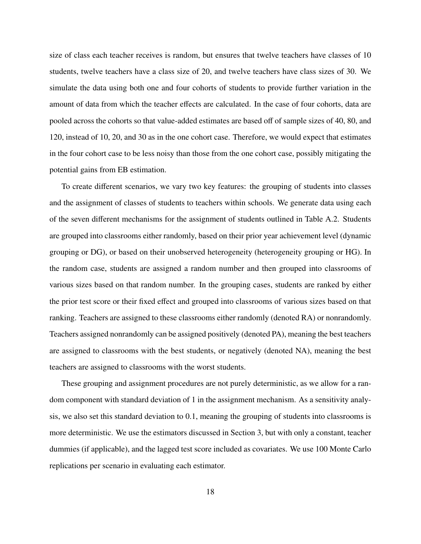size of class each teacher receives is random, but ensures that twelve teachers have classes of 10 students, twelve teachers have a class size of 20, and twelve teachers have class sizes of 30. We simulate the data using both one and four cohorts of students to provide further variation in the amount of data from which the teacher effects are calculated. In the case of four cohorts, data are pooled across the cohorts so that value-added estimates are based off of sample sizes of 40, 80, and 120, instead of 10, 20, and 30 as in the one cohort case. Therefore, we would expect that estimates in the four cohort case to be less noisy than those from the one cohort case, possibly mitigating the potential gains from EB estimation.

To create different scenarios, we vary two key features: the grouping of students into classes and the assignment of classes of students to teachers within schools. We generate data using each of the seven different mechanisms for the assignment of students outlined in Table A.2. Students are grouped into classrooms either randomly, based on their prior year achievement level (dynamic grouping or DG), or based on their unobserved heterogeneity (heterogeneity grouping or HG). In the random case, students are assigned a random number and then grouped into classrooms of various sizes based on that random number. In the grouping cases, students are ranked by either the prior test score or their fixed effect and grouped into classrooms of various sizes based on that ranking. Teachers are assigned to these classrooms either randomly (denoted RA) or nonrandomly. Teachers assigned nonrandomly can be assigned positively (denoted PA), meaning the best teachers are assigned to classrooms with the best students, or negatively (denoted NA), meaning the best teachers are assigned to classrooms with the worst students.

These grouping and assignment procedures are not purely deterministic, as we allow for a random component with standard deviation of 1 in the assignment mechanism. As a sensitivity analysis, we also set this standard deviation to 0.1, meaning the grouping of students into classrooms is more deterministic. We use the estimators discussed in Section 3, but with only a constant, teacher dummies (if applicable), and the lagged test score included as covariates. We use 100 Monte Carlo replications per scenario in evaluating each estimator.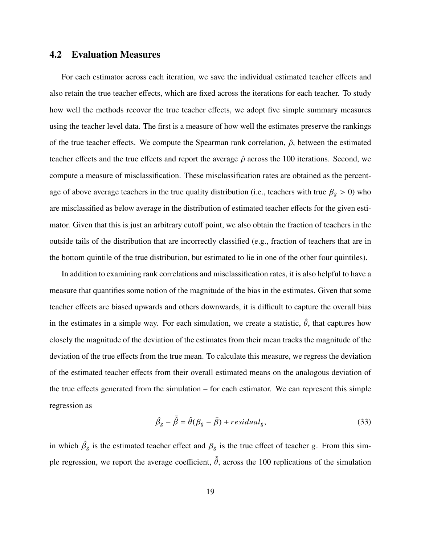#### 4.2 Evaluation Measures

For each estimator across each iteration, we save the individual estimated teacher effects and also retain the true teacher effects, which are fixed across the iterations for each teacher. To study how well the methods recover the true teacher effects, we adopt five simple summary measures using the teacher level data. The first is a measure of how well the estimates preserve the rankings of the true teacher effects. We compute the Spearman rank correlation,  $\hat{\rho}$ , between the estimated teacher effects and the true effects and report the average  $\hat{\rho}$  across the 100 iterations. Second, we compute a measure of misclassification. These misclassification rates are obtained as the percentage of above average teachers in the true quality distribution (i.e., teachers with true  $\beta_g > 0$ ) who are misclassified as below average in the distribution of estimated teacher effects for the given estimator. Given that this is just an arbitrary cutoff point, we also obtain the fraction of teachers in the outside tails of the distribution that are incorrectly classified (e.g., fraction of teachers that are in the bottom quintile of the true distribution, but estimated to lie in one of the other four quintiles).

In addition to examining rank correlations and misclassification rates, it is also helpful to have a measure that quantifies some notion of the magnitude of the bias in the estimates. Given that some teacher effects are biased upwards and others downwards, it is difficult to capture the overall bias in the estimates in a simple way. For each simulation, we create a statistic,  $\hat{\theta}$ , that captures how closely the magnitude of the deviation of the estimates from their mean tracks the magnitude of the deviation of the true effects from the true mean. To calculate this measure, we regress the deviation of the estimated teacher effects from their overall estimated means on the analogous deviation of the true effects generated from the simulation – for each estimator. We can represent this simple regression as

$$
\hat{\beta}_g - \bar{\hat{\beta}} = \hat{\theta}(\beta_g - \bar{\beta}) + residual_g, \tag{33}
$$

in which  $\hat{\beta}_g$  is the estimated teacher effect and  $\beta_g$  is the true effect of teacher g. From this simple regression, we report the average coefficient,  $\overline{\hat{\theta}}$ , across the 100 replications of the simulation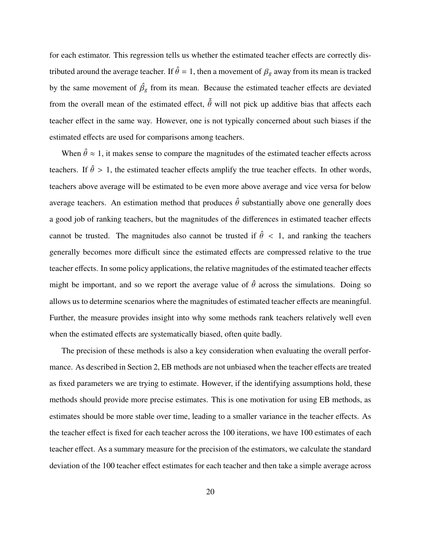for each estimator. This regression tells us whether the estimated teacher effects are correctly distributed around the average teacher. If  $\hat{\theta} = 1$ , then a movement of  $\beta_g$  away from its mean is tracked by the same movement of  $\hat{\beta_g}$  from its mean. Because the estimated teacher effects are deviated from the overall mean of the estimated effect,  $\overline{\hat{\theta}}$  will not pick up additive bias that affects each teacher effect in the same way. However, one is not typically concerned about such biases if the estimated effects are used for comparisons among teachers.

When  $\hat{\theta} \approx 1$ , it makes sense to compare the magnitudes of the estimated teacher effects across teachers. If  $\hat{\theta} > 1$ , the estimated teacher effects amplify the true teacher effects. In other words, teachers above average will be estimated to be even more above average and vice versa for below average teachers. An estimation method that produces  $\hat{\theta}$  substantially above one generally does a good job of ranking teachers, but the magnitudes of the differences in estimated teacher effects cannot be trusted. The magnitudes also cannot be trusted if  $\hat{\theta}$  < 1, and ranking the teachers generally becomes more difficult since the estimated effects are compressed relative to the true teacher effects. In some policy applications, the relative magnitudes of the estimated teacher effects might be important, and so we report the average value of  $\hat{\theta}$  across the simulations. Doing so allows us to determine scenarios where the magnitudes of estimated teacher effects are meaningful. Further, the measure provides insight into why some methods rank teachers relatively well even when the estimated effects are systematically biased, often quite badly.

The precision of these methods is also a key consideration when evaluating the overall performance. As described in Section 2, EB methods are not unbiased when the teacher effects are treated as fixed parameters we are trying to estimate. However, if the identifying assumptions hold, these methods should provide more precise estimates. This is one motivation for using EB methods, as estimates should be more stable over time, leading to a smaller variance in the teacher effects. As the teacher effect is fixed for each teacher across the 100 iterations, we have 100 estimates of each teacher effect. As a summary measure for the precision of the estimators, we calculate the standard deviation of the 100 teacher effect estimates for each teacher and then take a simple average across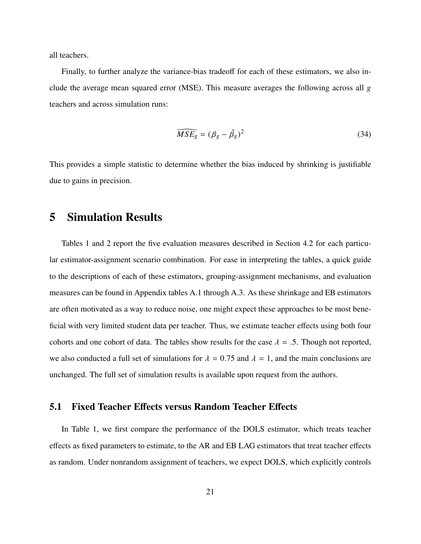all teachers.

Finally, to further analyze the variance-bias tradeoff for each of these estimators, we also include the average mean squared error (MSE). This measure averages the following across all  $g$ teachers and across simulation runs:

$$
\widehat{MSE_g} = (\beta_g - \hat{\beta}_g)^2 \tag{34}
$$

This provides a simple statistic to determine whether the bias induced by shrinking is justifiable due to gains in precision.

### 5 Simulation Results

Tables 1 and 2 report the five evaluation measures described in Section 4.2 for each particular estimator-assignment scenario combination. For ease in interpreting the tables, a quick guide to the descriptions of each of these estimators, grouping-assignment mechanisms, and evaluation measures can be found in Appendix tables A.1 through A.3. As these shrinkage and EB estimators are often motivated as a way to reduce noise, one might expect these approaches to be most beneficial with very limited student data per teacher. Thus, we estimate teacher effects using both four cohorts and one cohort of data. The tables show results for the case  $\lambda = .5$ . Though not reported, we also conducted a full set of simulations for  $\lambda = 0.75$  and  $\lambda = 1$ , and the main conclusions are unchanged. The full set of simulation results is available upon request from the authors.

#### 5.1 Fixed Teacher Effects versus Random Teacher Effects

In Table 1, we first compare the performance of the DOLS estimator, which treats teacher effects as fixed parameters to estimate, to the AR and EB LAG estimators that treat teacher effects as random. Under nonrandom assignment of teachers, we expect DOLS, which explicitly controls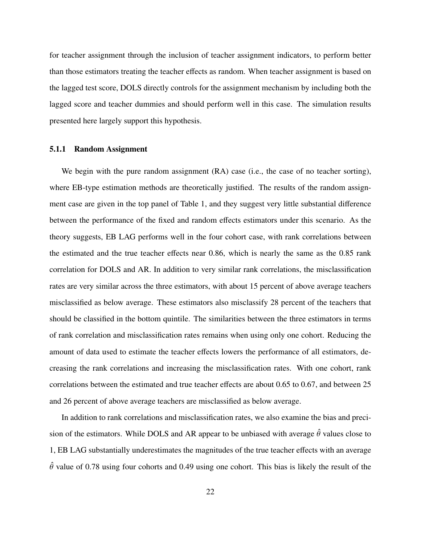for teacher assignment through the inclusion of teacher assignment indicators, to perform better than those estimators treating the teacher effects as random. When teacher assignment is based on the lagged test score, DOLS directly controls for the assignment mechanism by including both the lagged score and teacher dummies and should perform well in this case. The simulation results presented here largely support this hypothesis.

#### 5.1.1 Random Assignment

We begin with the pure random assignment (RA) case (i.e., the case of no teacher sorting), where EB-type estimation methods are theoretically justified. The results of the random assignment case are given in the top panel of Table 1, and they suggest very little substantial difference between the performance of the fixed and random effects estimators under this scenario. As the theory suggests, EB LAG performs well in the four cohort case, with rank correlations between the estimated and the true teacher effects near 0.86, which is nearly the same as the 0.85 rank correlation for DOLS and AR. In addition to very similar rank correlations, the misclassification rates are very similar across the three estimators, with about 15 percent of above average teachers misclassified as below average. These estimators also misclassify 28 percent of the teachers that should be classified in the bottom quintile. The similarities between the three estimators in terms of rank correlation and misclassification rates remains when using only one cohort. Reducing the amount of data used to estimate the teacher effects lowers the performance of all estimators, decreasing the rank correlations and increasing the misclassification rates. With one cohort, rank correlations between the estimated and true teacher effects are about 0.65 to 0.67, and between 25 and 26 percent of above average teachers are misclassified as below average.

In addition to rank correlations and misclassification rates, we also examine the bias and precision of the estimators. While DOLS and AR appear to be unbiased with average  $\hat{\theta}$  values close to 1, EB LAG substantially underestimates the magnitudes of the true teacher effects with an average  $\hat{\theta}$  value of 0.78 using four cohorts and 0.49 using one cohort. This bias is likely the result of the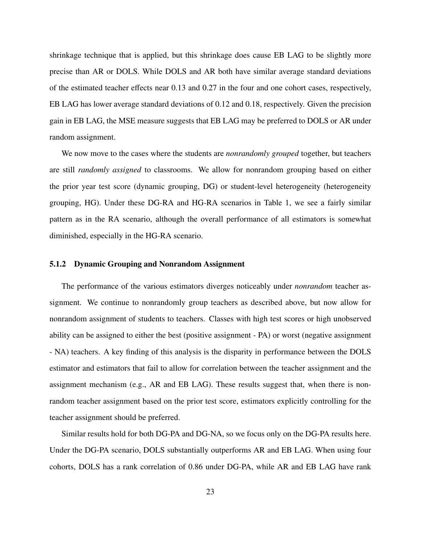shrinkage technique that is applied, but this shrinkage does cause EB LAG to be slightly more precise than AR or DOLS. While DOLS and AR both have similar average standard deviations of the estimated teacher effects near 0.13 and 0.27 in the four and one cohort cases, respectively, EB LAG has lower average standard deviations of 0.12 and 0.18, respectively. Given the precision gain in EB LAG, the MSE measure suggests that EB LAG may be preferred to DOLS or AR under random assignment.

We now move to the cases where the students are *nonrandomly grouped* together, but teachers are still *randomly assigned* to classrooms. We allow for nonrandom grouping based on either the prior year test score (dynamic grouping, DG) or student-level heterogeneity (heterogeneity grouping, HG). Under these DG-RA and HG-RA scenarios in Table 1, we see a fairly similar pattern as in the RA scenario, although the overall performance of all estimators is somewhat diminished, especially in the HG-RA scenario.

#### 5.1.2 Dynamic Grouping and Nonrandom Assignment

The performance of the various estimators diverges noticeably under *nonrandom* teacher assignment. We continue to nonrandomly group teachers as described above, but now allow for nonrandom assignment of students to teachers. Classes with high test scores or high unobserved ability can be assigned to either the best (positive assignment - PA) or worst (negative assignment - NA) teachers. A key finding of this analysis is the disparity in performance between the DOLS estimator and estimators that fail to allow for correlation between the teacher assignment and the assignment mechanism (e.g., AR and EB LAG). These results suggest that, when there is nonrandom teacher assignment based on the prior test score, estimators explicitly controlling for the teacher assignment should be preferred.

Similar results hold for both DG-PA and DG-NA, so we focus only on the DG-PA results here. Under the DG-PA scenario, DOLS substantially outperforms AR and EB LAG. When using four cohorts, DOLS has a rank correlation of 0.86 under DG-PA, while AR and EB LAG have rank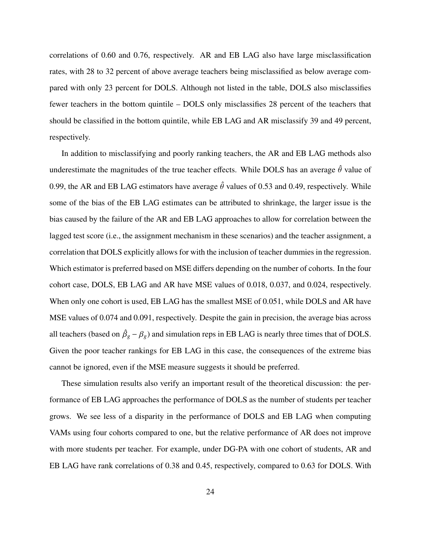correlations of 0.60 and 0.76, respectively. AR and EB LAG also have large misclassification rates, with 28 to 32 percent of above average teachers being misclassified as below average compared with only 23 percent for DOLS. Although not listed in the table, DOLS also misclassifies fewer teachers in the bottom quintile – DOLS only misclassifies 28 percent of the teachers that should be classified in the bottom quintile, while EB LAG and AR misclassify 39 and 49 percent, respectively.

In addition to misclassifying and poorly ranking teachers, the AR and EB LAG methods also underestimate the magnitudes of the true teacher effects. While DOLS has an average  $\hat{\theta}$  value of 0.99, the AR and EB LAG estimators have average  $\hat{\theta}$  values of 0.53 and 0.49, respectively. While some of the bias of the EB LAG estimates can be attributed to shrinkage, the larger issue is the bias caused by the failure of the AR and EB LAG approaches to allow for correlation between the lagged test score (i.e., the assignment mechanism in these scenarios) and the teacher assignment, a correlation that DOLS explicitly allows for with the inclusion of teacher dummies in the regression. Which estimator is preferred based on MSE differs depending on the number of cohorts. In the four cohort case, DOLS, EB LAG and AR have MSE values of 0.018, 0.037, and 0.024, respectively. When only one cohort is used, EB LAG has the smallest MSE of 0.051, while DOLS and AR have MSE values of 0.074 and 0.091, respectively. Despite the gain in precision, the average bias across all teachers (based on  $\hat{\beta}_g - \beta_g$ ) and simulation reps in EB LAG is nearly three times that of DOLS. Given the poor teacher rankings for EB LAG in this case, the consequences of the extreme bias cannot be ignored, even if the MSE measure suggests it should be preferred.

These simulation results also verify an important result of the theoretical discussion: the performance of EB LAG approaches the performance of DOLS as the number of students per teacher grows. We see less of a disparity in the performance of DOLS and EB LAG when computing VAMs using four cohorts compared to one, but the relative performance of AR does not improve with more students per teacher. For example, under DG-PA with one cohort of students, AR and EB LAG have rank correlations of 0.38 and 0.45, respectively, compared to 0.63 for DOLS. With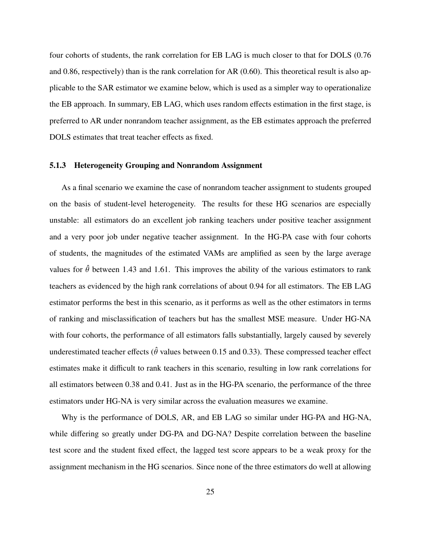four cohorts of students, the rank correlation for EB LAG is much closer to that for DOLS (0.76 and 0.86, respectively) than is the rank correlation for AR (0.60). This theoretical result is also applicable to the SAR estimator we examine below, which is used as a simpler way to operationalize the EB approach. In summary, EB LAG, which uses random effects estimation in the first stage, is preferred to AR under nonrandom teacher assignment, as the EB estimates approach the preferred DOLS estimates that treat teacher effects as fixed.

#### 5.1.3 Heterogeneity Grouping and Nonrandom Assignment

As a final scenario we examine the case of nonrandom teacher assignment to students grouped on the basis of student-level heterogeneity. The results for these HG scenarios are especially unstable: all estimators do an excellent job ranking teachers under positive teacher assignment and a very poor job under negative teacher assignment. In the HG-PA case with four cohorts of students, the magnitudes of the estimated VAMs are amplified as seen by the large average values for  $\hat{\theta}$  between 1.43 and 1.61. This improves the ability of the various estimators to rank teachers as evidenced by the high rank correlations of about 0.94 for all estimators. The EB LAG estimator performs the best in this scenario, as it performs as well as the other estimators in terms of ranking and misclassification of teachers but has the smallest MSE measure. Under HG-NA with four cohorts, the performance of all estimators falls substantially, largely caused by severely underestimated teacher effects ( $\hat{\theta}$  values between 0.15 and 0.33). These compressed teacher effect estimates make it difficult to rank teachers in this scenario, resulting in low rank correlations for all estimators between 0.38 and 0.41. Just as in the HG-PA scenario, the performance of the three estimators under HG-NA is very similar across the evaluation measures we examine.

Why is the performance of DOLS, AR, and EB LAG so similar under HG-PA and HG-NA, while differing so greatly under DG-PA and DG-NA? Despite correlation between the baseline test score and the student fixed effect, the lagged test score appears to be a weak proxy for the assignment mechanism in the HG scenarios. Since none of the three estimators do well at allowing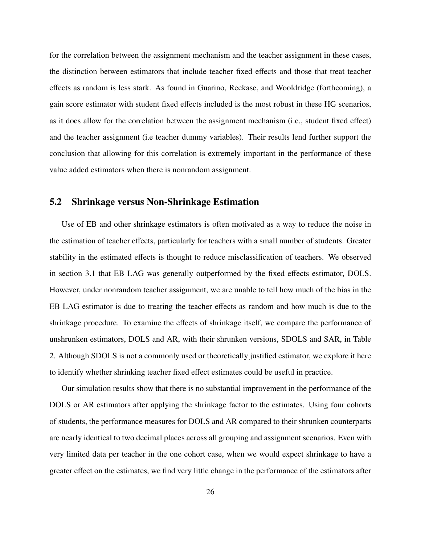for the correlation between the assignment mechanism and the teacher assignment in these cases, the distinction between estimators that include teacher fixed effects and those that treat teacher effects as random is less stark. As found in Guarino, Reckase, and Wooldridge (forthcoming), a gain score estimator with student fixed effects included is the most robust in these HG scenarios, as it does allow for the correlation between the assignment mechanism (i.e., student fixed effect) and the teacher assignment (i.e teacher dummy variables). Their results lend further support the conclusion that allowing for this correlation is extremely important in the performance of these value added estimators when there is nonrandom assignment.

#### 5.2 Shrinkage versus Non-Shrinkage Estimation

Use of EB and other shrinkage estimators is often motivated as a way to reduce the noise in the estimation of teacher effects, particularly for teachers with a small number of students. Greater stability in the estimated effects is thought to reduce misclassification of teachers. We observed in section 3.1 that EB LAG was generally outperformed by the fixed effects estimator, DOLS. However, under nonrandom teacher assignment, we are unable to tell how much of the bias in the EB LAG estimator is due to treating the teacher effects as random and how much is due to the shrinkage procedure. To examine the effects of shrinkage itself, we compare the performance of unshrunken estimators, DOLS and AR, with their shrunken versions, SDOLS and SAR, in Table 2. Although SDOLS is not a commonly used or theoretically justified estimator, we explore it here to identify whether shrinking teacher fixed effect estimates could be useful in practice.

Our simulation results show that there is no substantial improvement in the performance of the DOLS or AR estimators after applying the shrinkage factor to the estimates. Using four cohorts of students, the performance measures for DOLS and AR compared to their shrunken counterparts are nearly identical to two decimal places across all grouping and assignment scenarios. Even with very limited data per teacher in the one cohort case, when we would expect shrinkage to have a greater effect on the estimates, we find very little change in the performance of the estimators after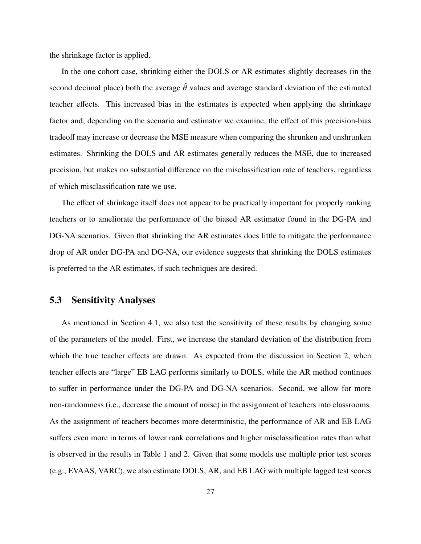the shrinkage factor is applied.

In the one cohort case, shrinking either the DOLS or AR estimates slightly decreases (in the second decimal place) both the average  $\hat{\theta}$  values and average standard deviation of the estimated teacher effects. This increased bias in the estimates is expected when applying the shrinkage factor and, depending on the scenario and estimator we examine, the effect of this precision-bias tradeoff may increase or decrease the MSE measure when comparing the shrunken and unshrunken estimates. Shrinking the DOLS and AR estimates generally reduces the MSE, due to increased precision, but makes no substantial difference on the misclassification rate of teachers, regardless of which misclassification rate we use.

The effect of shrinkage itself does not appear to be practically important for properly ranking teachers or to ameliorate the performance of the biased AR estimator found in the DG-PA and DG-NA scenarios. Given that shrinking the AR estimates does little to mitigate the performance drop of AR under DG-PA and DG-NA, our evidence suggests that shrinking the DOLS estimates is preferred to the AR estimates, if such techniques are desired.

#### 5.3 Sensitivity Analyses

As mentioned in Section 4.1, we also test the sensitivity of these results by changing some of the parameters of the model. First, we increase the standard deviation of the distribution from which the true teacher effects are drawn. As expected from the discussion in Section 2, when teacher effects are "large" EB LAG performs similarly to DOLS, while the AR method continues to suffer in performance under the DG-PA and DG-NA scenarios. Second, we allow for more non-randomness (i.e., decrease the amount of noise) in the assignment of teachers into classrooms. As the assignment of teachers becomes more deterministic, the performance of AR and EB LAG suffers even more in terms of lower rank correlations and higher misclassification rates than what is observed in the results in Table 1 and 2. Given that some models use multiple prior test scores (e.g., EVAAS, VARC), we also estimate DOLS, AR, and EB LAG with multiple lagged test scores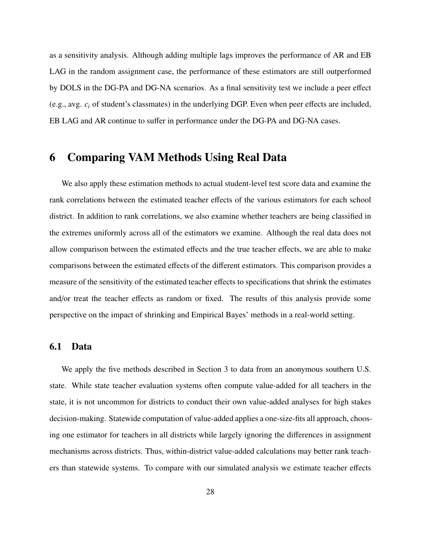as a sensitivity analysis. Although adding multiple lags improves the performance of AR and EB LAG in the random assignment case, the performance of these estimators are still outperformed by DOLS in the DG-PA and DG-NA scenarios. As a final sensitivity test we include a peer effect (e.g., avg. *c<sup>i</sup>* of student's classmates) in the underlying DGP. Even when peer effects are included, EB LAG and AR continue to suffer in performance under the DG-PA and DG-NA cases.

### 6 Comparing VAM Methods Using Real Data

We also apply these estimation methods to actual student-level test score data and examine the rank correlations between the estimated teacher effects of the various estimators for each school district. In addition to rank correlations, we also examine whether teachers are being classified in the extremes uniformly across all of the estimators we examine. Although the real data does not allow comparison between the estimated effects and the true teacher effects, we are able to make comparisons between the estimated effects of the different estimators. This comparison provides a measure of the sensitivity of the estimated teacher effects to specifications that shrink the estimates and/or treat the teacher effects as random or fixed. The results of this analysis provide some perspective on the impact of shrinking and Empirical Bayes' methods in a real-world setting.

#### 6.1 Data

We apply the five methods described in Section 3 to data from an anonymous southern U.S. state. While state teacher evaluation systems often compute value-added for all teachers in the state, it is not uncommon for districts to conduct their own value-added analyses for high stakes decision-making. Statewide computation of value-added applies a one-size-fits all approach, choosing one estimator for teachers in all districts while largely ignoring the differences in assignment mechanisms across districts. Thus, within-district value-added calculations may better rank teachers than statewide systems. To compare with our simulated analysis we estimate teacher effects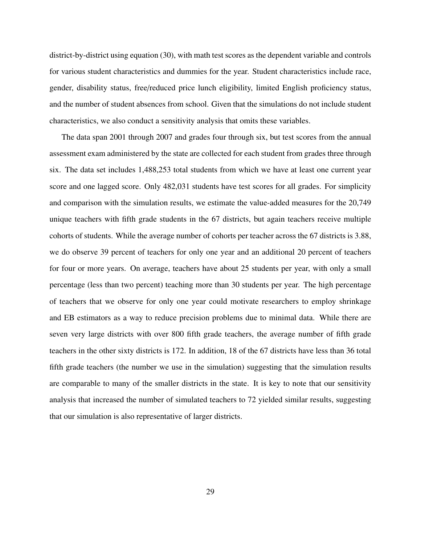district-by-district using equation (30), with math test scores as the dependent variable and controls for various student characteristics and dummies for the year. Student characteristics include race, gender, disability status, free/reduced price lunch eligibility, limited English proficiency status, and the number of student absences from school. Given that the simulations do not include student characteristics, we also conduct a sensitivity analysis that omits these variables.

The data span 2001 through 2007 and grades four through six, but test scores from the annual assessment exam administered by the state are collected for each student from grades three through six. The data set includes 1,488,253 total students from which we have at least one current year score and one lagged score. Only 482,031 students have test scores for all grades. For simplicity and comparison with the simulation results, we estimate the value-added measures for the 20,749 unique teachers with fifth grade students in the 67 districts, but again teachers receive multiple cohorts of students. While the average number of cohorts per teacher across the 67 districts is 3.88, we do observe 39 percent of teachers for only one year and an additional 20 percent of teachers for four or more years. On average, teachers have about 25 students per year, with only a small percentage (less than two percent) teaching more than 30 students per year. The high percentage of teachers that we observe for only one year could motivate researchers to employ shrinkage and EB estimators as a way to reduce precision problems due to minimal data. While there are seven very large districts with over 800 fifth grade teachers, the average number of fifth grade teachers in the other sixty districts is 172. In addition, 18 of the 67 districts have less than 36 total fifth grade teachers (the number we use in the simulation) suggesting that the simulation results are comparable to many of the smaller districts in the state. It is key to note that our sensitivity analysis that increased the number of simulated teachers to 72 yielded similar results, suggesting that our simulation is also representative of larger districts.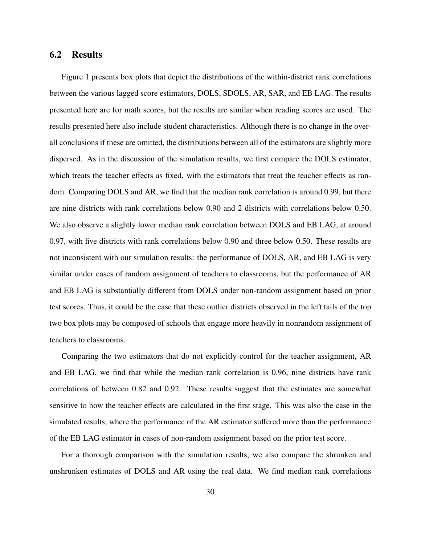#### 6.2 Results

Figure 1 presents box plots that depict the distributions of the within-district rank correlations between the various lagged score estimators, DOLS, SDOLS, AR, SAR, and EB LAG. The results presented here are for math scores, but the results are similar when reading scores are used. The results presented here also include student characteristics. Although there is no change in the overall conclusions if these are omitted, the distributions between all of the estimators are slightly more dispersed. As in the discussion of the simulation results, we first compare the DOLS estimator, which treats the teacher effects as fixed, with the estimators that treat the teacher effects as random. Comparing DOLS and AR, we find that the median rank correlation is around 0.99, but there are nine districts with rank correlations below 0.90 and 2 districts with correlations below 0.50. We also observe a slightly lower median rank correlation between DOLS and EB LAG, at around 0.97, with five districts with rank correlations below 0.90 and three below 0.50. These results are not inconsistent with our simulation results: the performance of DOLS, AR, and EB LAG is very similar under cases of random assignment of teachers to classrooms, but the performance of AR and EB LAG is substantially different from DOLS under non-random assignment based on prior test scores. Thus, it could be the case that these outlier districts observed in the left tails of the top two box plots may be composed of schools that engage more heavily in nonrandom assignment of teachers to classrooms.

Comparing the two estimators that do not explicitly control for the teacher assignment, AR and EB LAG, we find that while the median rank correlation is 0.96, nine districts have rank correlations of between 0.82 and 0.92. These results suggest that the estimates are somewhat sensitive to how the teacher effects are calculated in the first stage. This was also the case in the simulated results, where the performance of the AR estimator suffered more than the performance of the EB LAG estimator in cases of non-random assignment based on the prior test score.

For a thorough comparison with the simulation results, we also compare the shrunken and unshrunken estimates of DOLS and AR using the real data. We find median rank correlations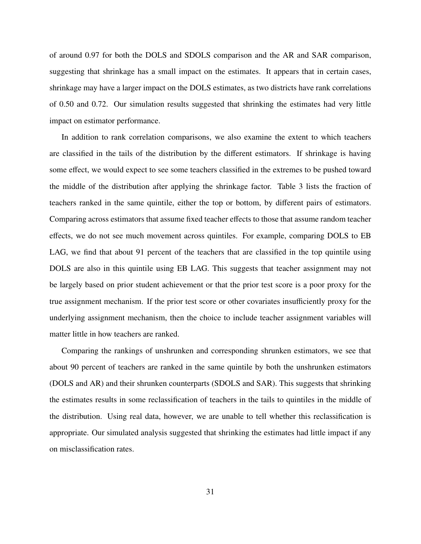of around 0.97 for both the DOLS and SDOLS comparison and the AR and SAR comparison, suggesting that shrinkage has a small impact on the estimates. It appears that in certain cases, shrinkage may have a larger impact on the DOLS estimates, as two districts have rank correlations of 0.50 and 0.72. Our simulation results suggested that shrinking the estimates had very little impact on estimator performance.

In addition to rank correlation comparisons, we also examine the extent to which teachers are classified in the tails of the distribution by the different estimators. If shrinkage is having some effect, we would expect to see some teachers classified in the extremes to be pushed toward the middle of the distribution after applying the shrinkage factor. Table 3 lists the fraction of teachers ranked in the same quintile, either the top or bottom, by different pairs of estimators. Comparing across estimators that assume fixed teacher effects to those that assume random teacher effects, we do not see much movement across quintiles. For example, comparing DOLS to EB LAG, we find that about 91 percent of the teachers that are classified in the top quintile using DOLS are also in this quintile using EB LAG. This suggests that teacher assignment may not be largely based on prior student achievement or that the prior test score is a poor proxy for the true assignment mechanism. If the prior test score or other covariates insufficiently proxy for the underlying assignment mechanism, then the choice to include teacher assignment variables will matter little in how teachers are ranked.

Comparing the rankings of unshrunken and corresponding shrunken estimators, we see that about 90 percent of teachers are ranked in the same quintile by both the unshrunken estimators (DOLS and AR) and their shrunken counterparts (SDOLS and SAR). This suggests that shrinking the estimates results in some reclassification of teachers in the tails to quintiles in the middle of the distribution. Using real data, however, we are unable to tell whether this reclassification is appropriate. Our simulated analysis suggested that shrinking the estimates had little impact if any on misclassification rates.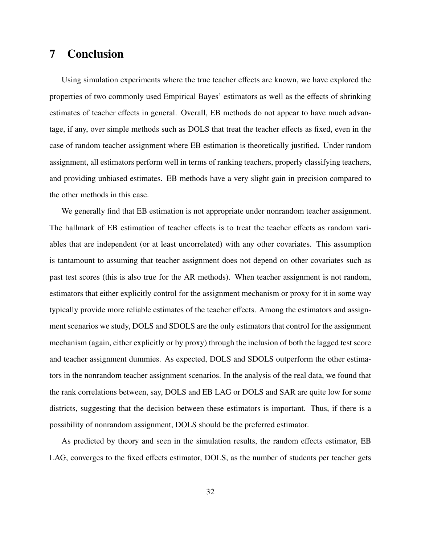### 7 Conclusion

Using simulation experiments where the true teacher effects are known, we have explored the properties of two commonly used Empirical Bayes' estimators as well as the effects of shrinking estimates of teacher effects in general. Overall, EB methods do not appear to have much advantage, if any, over simple methods such as DOLS that treat the teacher effects as fixed, even in the case of random teacher assignment where EB estimation is theoretically justified. Under random assignment, all estimators perform well in terms of ranking teachers, properly classifying teachers, and providing unbiased estimates. EB methods have a very slight gain in precision compared to the other methods in this case.

We generally find that EB estimation is not appropriate under nonrandom teacher assignment. The hallmark of EB estimation of teacher effects is to treat the teacher effects as random variables that are independent (or at least uncorrelated) with any other covariates. This assumption is tantamount to assuming that teacher assignment does not depend on other covariates such as past test scores (this is also true for the AR methods). When teacher assignment is not random, estimators that either explicitly control for the assignment mechanism or proxy for it in some way typically provide more reliable estimates of the teacher effects. Among the estimators and assignment scenarios we study, DOLS and SDOLS are the only estimators that control for the assignment mechanism (again, either explicitly or by proxy) through the inclusion of both the lagged test score and teacher assignment dummies. As expected, DOLS and SDOLS outperform the other estimators in the nonrandom teacher assignment scenarios. In the analysis of the real data, we found that the rank correlations between, say, DOLS and EB LAG or DOLS and SAR are quite low for some districts, suggesting that the decision between these estimators is important. Thus, if there is a possibility of nonrandom assignment, DOLS should be the preferred estimator.

As predicted by theory and seen in the simulation results, the random effects estimator, EB LAG, converges to the fixed effects estimator, DOLS, as the number of students per teacher gets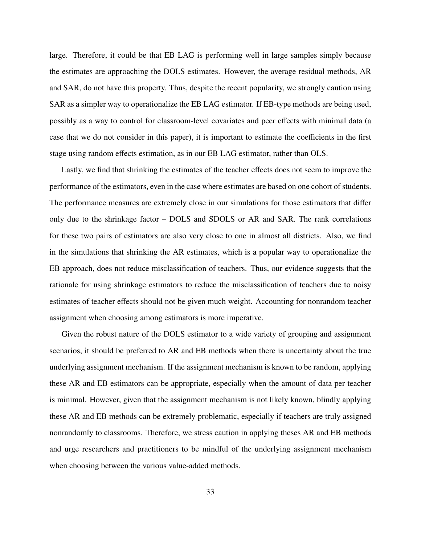large. Therefore, it could be that EB LAG is performing well in large samples simply because the estimates are approaching the DOLS estimates. However, the average residual methods, AR and SAR, do not have this property. Thus, despite the recent popularity, we strongly caution using SAR as a simpler way to operationalize the EB LAG estimator. If EB-type methods are being used, possibly as a way to control for classroom-level covariates and peer effects with minimal data (a case that we do not consider in this paper), it is important to estimate the coefficients in the first stage using random effects estimation, as in our EB LAG estimator, rather than OLS.

Lastly, we find that shrinking the estimates of the teacher effects does not seem to improve the performance of the estimators, even in the case where estimates are based on one cohort of students. The performance measures are extremely close in our simulations for those estimators that differ only due to the shrinkage factor – DOLS and SDOLS or AR and SAR. The rank correlations for these two pairs of estimators are also very close to one in almost all districts. Also, we find in the simulations that shrinking the AR estimates, which is a popular way to operationalize the EB approach, does not reduce misclassification of teachers. Thus, our evidence suggests that the rationale for using shrinkage estimators to reduce the misclassification of teachers due to noisy estimates of teacher effects should not be given much weight. Accounting for nonrandom teacher assignment when choosing among estimators is more imperative.

Given the robust nature of the DOLS estimator to a wide variety of grouping and assignment scenarios, it should be preferred to AR and EB methods when there is uncertainty about the true underlying assignment mechanism. If the assignment mechanism is known to be random, applying these AR and EB estimators can be appropriate, especially when the amount of data per teacher is minimal. However, given that the assignment mechanism is not likely known, blindly applying these AR and EB methods can be extremely problematic, especially if teachers are truly assigned nonrandomly to classrooms. Therefore, we stress caution in applying theses AR and EB methods and urge researchers and practitioners to be mindful of the underlying assignment mechanism when choosing between the various value-added methods.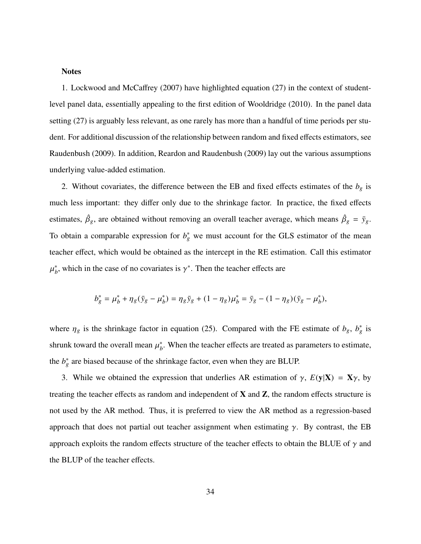#### **Notes**

1. Lockwood and McCaffrey (2007) have highlighted equation (27) in the context of studentlevel panel data, essentially appealing to the first edition of Wooldridge (2010). In the panel data setting (27) is arguably less relevant, as one rarely has more than a handful of time periods per student. For additional discussion of the relationship between random and fixed effects estimators, see Raudenbush (2009). In addition, Reardon and Raudenbush (2009) lay out the various assumptions underlying value-added estimation.

2. Without covariates, the difference between the EB and fixed effects estimates of the  $b<sub>g</sub>$  is much less important: they differ only due to the shrinkage factor. In practice, the fixed effects estimates,  $\hat{\beta}_g$ , are obtained without removing an overall teacher average, which means  $\hat{\beta}_g = \bar{y}_g$ . To obtain a comparable expression for  $b_g^*$  we must account for the GLS estimator of the mean teacher effect, which would be obtained as the intercept in the RE estimation. Call this estimator  $\mathbf{r}$ ∗  $\phi_b^*$ , which in the case of no covariates is  $\gamma^*$ . Then the teacher effects are

$$
b_g^* = \mu_b^* + \eta_g(\bar{y}_g - \mu_b^*) = \eta_g \bar{y}_g + (1 - \eta_g)\mu_b^* = \bar{y}_g - (1 - \eta_g)(\bar{y}_g - \mu_b^*),
$$

where  $\eta_g$  is the shrinkage factor in equation (25). Compared with the FE estimate of  $b_g$ ,  $b_g^*$  is shrunk toward the overall mean  $\mu_b^*$  $\alpha_b^*$ . When the teacher effects are treated as parameters to estimate, the  $b_g^*$  are biased because of the shrinkage factor, even when they are BLUP.

3. While we obtained the expression that underlies AR estimation of  $\gamma$ ,  $E(y|X) = X\gamma$ , by treating the teacher effects as random and independent of  $X$  and  $Z$ , the random effects structure is not used by the AR method. Thus, it is preferred to view the AR method as a regression-based approach that does not partial out teacher assignment when estimating  $\gamma$ . By contrast, the EB approach exploits the random effects structure of the teacher effects to obtain the BLUE of  $\gamma$  and the BLUP of the teacher effects.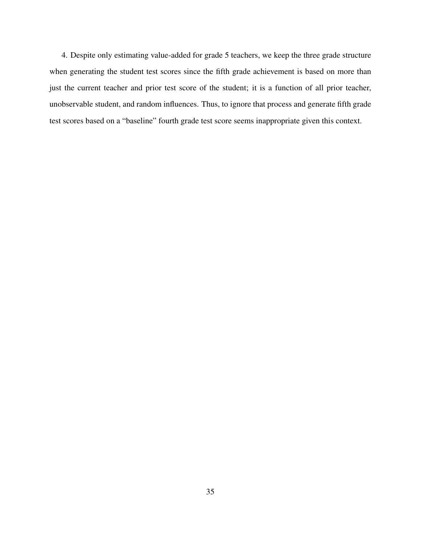4. Despite only estimating value-added for grade 5 teachers, we keep the three grade structure when generating the student test scores since the fifth grade achievement is based on more than just the current teacher and prior test score of the student; it is a function of all prior teacher, unobservable student, and random influences. Thus, to ignore that process and generate fifth grade test scores based on a "baseline" fourth grade test score seems inappropriate given this context.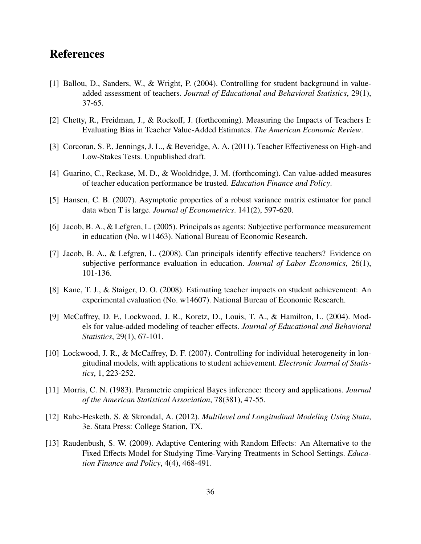### References

- [1] Ballou, D., Sanders, W., & Wright, P. (2004). Controlling for student background in valueadded assessment of teachers. *Journal of Educational and Behavioral Statistics*, 29(1), 37-65.
- [2] Chetty, R., Freidman, J., & Rockoff, J. (forthcoming). Measuring the Impacts of Teachers I: Evaluating Bias in Teacher Value-Added Estimates. *The American Economic Review*.
- [3] Corcoran, S. P., Jennings, J. L., & Beveridge, A. A. (2011). Teacher Effectiveness on High-and Low-Stakes Tests. Unpublished draft.
- [4] Guarino, C., Reckase, M. D., & Wooldridge, J. M. (forthcoming). Can value-added measures of teacher education performance be trusted. *Education Finance and Policy*.
- [5] Hansen, C. B. (2007). Asymptotic properties of a robust variance matrix estimator for panel data when T is large. *Journal of Econometrics*. 141(2), 597-620.
- [6] Jacob, B. A., & Lefgren, L. (2005). Principals as agents: Subjective performance measurement in education (No. w11463). National Bureau of Economic Research.
- [7] Jacob, B. A., & Lefgren, L. (2008). Can principals identify effective teachers? Evidence on subjective performance evaluation in education. *Journal of Labor Economics*, 26(1), 101-136.
- [8] Kane, T. J., & Staiger, D. O. (2008). Estimating teacher impacts on student achievement: An experimental evaluation (No. w14607). National Bureau of Economic Research.
- [9] McCaffrey, D. F., Lockwood, J. R., Koretz, D., Louis, T. A., & Hamilton, L. (2004). Models for value-added modeling of teacher effects. *Journal of Educational and Behavioral Statistics*, 29(1), 67-101.
- [10] Lockwood, J. R., & McCaffrey, D. F. (2007). Controlling for individual heterogeneity in longitudinal models, with applications to student achievement. *Electronic Journal of Statistics*, 1, 223-252.
- [11] Morris, C. N. (1983). Parametric empirical Bayes inference: theory and applications. *Journal of the American Statistical Association*, 78(381), 47-55.
- [12] Rabe-Hesketh, S. & Skrondal, A. (2012). *Multilevel and Longitudinal Modeling Using Stata*, 3e. Stata Press: College Station, TX.
- [13] Raudenbush, S. W. (2009). Adaptive Centering with Random Effects: An Alternative to the Fixed Effects Model for Studying Time-Varying Treatments in School Settings. *Education Finance and Policy*, 4(4), 468-491.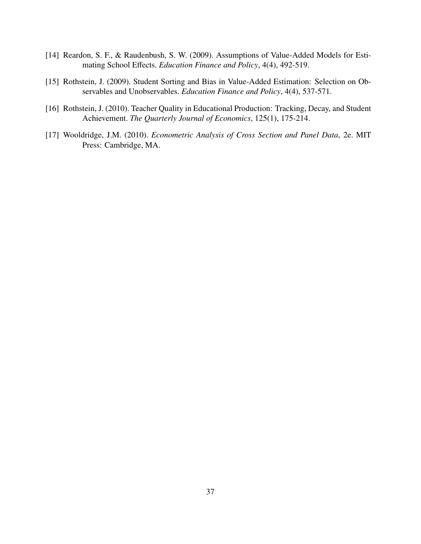- [14] Reardon, S. F., & Raudenbush, S. W. (2009). Assumptions of Value-Added Models for Estimating School Effects. *Education Finance and Policy*, 4(4), 492-519.
- [15] Rothstein, J. (2009). Student Sorting and Bias in Value-Added Estimation: Selection on Observables and Unobservables. *Education Finance and Policy*, 4(4), 537-571.
- [16] Rothstein, J. (2010). Teacher Quality in Educational Production: Tracking, Decay, and Student Achievement. *The Quarterly Journal of Economics*, 125(1), 175-214.
- [17] Wooldridge, J.M. (2010). *Econometric Analysis of Cross Section and Panel Data*, 2e. MIT Press: Cambridge, MA.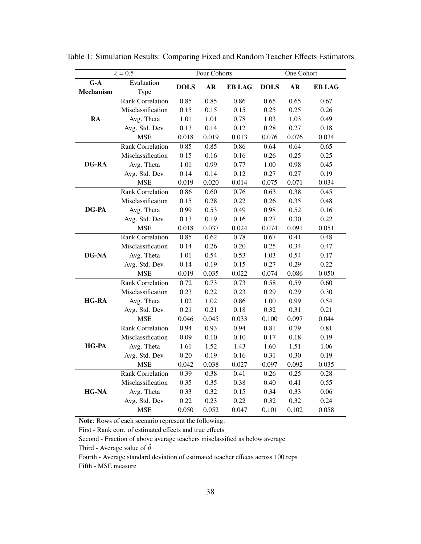| $\lambda = 0.5$ |                         | Four Cohorts |       |               | One Cohort  |       |               |
|-----------------|-------------------------|--------------|-------|---------------|-------------|-------|---------------|
| $G-A$           | Evaluation              | <b>DOLS</b>  | AR    | <b>EB LAG</b> | <b>DOLS</b> | AR    | <b>EB LAG</b> |
| Mechanism       | Type                    |              |       |               |             |       |               |
|                 | <b>Rank Correlation</b> | 0.85         | 0.85  | 0.86          | 0.65        | 0.65  | 0.67          |
|                 | Misclassification       | 0.15         | 0.15  | 0.15          | 0.25        | 0.25  | 0.26          |
| <b>RA</b>       | Avg. Theta              | 1.01         | 1.01  | 0.78          | 1.03        | 1.03  | 0.49          |
|                 | Avg. Std. Dev.          | 0.13         | 0.14  | 0.12          | 0.28        | 0.27  | 0.18          |
|                 | <b>MSE</b>              | 0.018        | 0.019 | 0.013         | 0.076       | 0.076 | 0.034         |
|                 | <b>Rank Correlation</b> | 0.85         | 0.85  | 0.86          | 0.64        | 0.64  | 0.65          |
|                 | Misclassification       | 0.15         | 0.16  | 0.16          | 0.26        | 0.25  | 0.25          |
| <b>DG-RA</b>    | Avg. Theta              | 1.01         | 0.99  | 0.77          | 1.00        | 0.98  | 0.45          |
|                 | Avg. Std. Dev.          | 0.14         | 0.14  | 0.12          | 0.27        | 0.27  | 0.19          |
|                 | <b>MSE</b>              | 0.019        | 0.020 | 0.014         | 0.075       | 0.071 | 0.034         |
|                 | <b>Rank Correlation</b> | 0.86         | 0.60  | 0.76          | 0.63        | 0.38  | 0.45          |
|                 | Misclassification       | 0.15         | 0.28  | 0.22          | 0.26        | 0.35  | 0.48          |
| <b>DG-PA</b>    | Avg. Theta              | 0.99         | 0.53  | 0.49          | 0.98        | 0.52  | 0.16          |
|                 | Avg. Std. Dev.          | 0.13         | 0.19  | 0.16          | 0.27        | 0.30  | 0.22          |
|                 | <b>MSE</b>              | 0.018        | 0.037 | 0.024         | 0.074       | 0.091 | 0.051         |
|                 | <b>Rank Correlation</b> | 0.85         | 0.62  | 0.78          | 0.67        | 0.41  | 0.48          |
|                 | Misclassification       | 0.14         | 0.26  | 0.20          | 0.25        | 0.34  | 0.47          |
| DG-NA           | Avg. Theta              | 1.01         | 0.54  | 0.53          | 1.03        | 0.54  | 0.17          |
|                 | Avg. Std. Dev.          | 0.14         | 0.19  | 0.15          | 0.27        | 0.29  | 0.22          |
|                 | <b>MSE</b>              | 0.019        | 0.035 | 0.022         | 0.074       | 0.086 | 0.050         |
|                 | <b>Rank Correlation</b> | 0.72         | 0.73  | 0.73          | 0.58        | 0.59  | 0.60          |
|                 | Misclassification       | 0.23         | 0.22  | 0.23          | 0.29        | 0.29  | 0.30          |
| <b>HG-RA</b>    | Avg. Theta              | 1.02         | 1.02  | 0.86          | 1.00        | 0.99  | 0.54          |
|                 | Avg. Std. Dev.          | 0.21         | 0.21  | 0.18          | 0.32        | 0.31  | 0.21          |
|                 | <b>MSE</b>              | 0.046        | 0.045 | 0.033         | 0.100       | 0.097 | 0.044         |
|                 | <b>Rank Correlation</b> | 0.94         | 0.93  | 0.94          | 0.81        | 0.79  | 0.81          |
|                 | Misclassification       | 0.09         | 0.10  | 0.10          | 0.17        | 0.18  | 0.19          |
| <b>HG-PA</b>    | Avg. Theta              | 1.61         | 1.52  | 1.43          | 1.60        | 1.51  | 1.06          |
|                 | Avg. Std. Dev.          | 0.20         | 0.19  | 0.16          | 0.31        | 0.30  | 0.19          |
|                 | <b>MSE</b>              | 0.042        | 0.038 | 0.027         | 0.097       | 0.092 | 0.035         |
|                 | <b>Rank Correlation</b> | 0.39         | 0.38  | 0.41          | 0.26        | 0.25  | 0.28          |
|                 | Misclassification       | 0.35         | 0.35  | 0.38          | 0.40        | 0.41  | 0.55          |
| <b>HG-NA</b>    | Avg. Theta              | 0.33         | 0.32  | 0.15          | 0.34        | 0.33  | 0.06          |
|                 | Avg. Std. Dev.          | 0.22         | 0.23  | 0.22          | 0.32        | 0.32  | 0.24          |
|                 | <b>MSE</b>              | 0.050        | 0.052 | 0.047         | 0.101       | 0.102 | 0.058         |

Table 1: Simulation Results: Comparing Fixed and Random Teacher Effects Estimators

Note: Rows of each scenario represent the following:

First - Rank corr. of estimated effects and true effects

Second - Fraction of above average teachers misclassified as below average

Third - Average value of  $\hat{\theta}$ 

Fourth - Average standard deviation of estimated teacher effects across 100 reps Fifth - MSE measure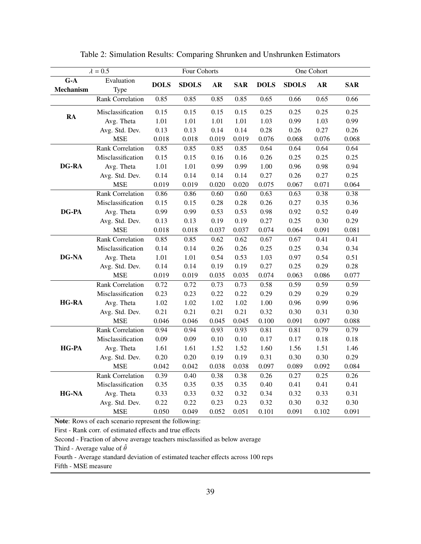| $\lambda = 0.5$ |                         | Four Cohorts |              |       |            | One Cohort  |              |       |            |
|-----------------|-------------------------|--------------|--------------|-------|------------|-------------|--------------|-------|------------|
| $G-A$           | Evaluation              | <b>DOLS</b>  | <b>SDOLS</b> | AR    | <b>SAR</b> | <b>DOLS</b> | <b>SDOLS</b> | AR    | <b>SAR</b> |
| Mechanism       | Type                    |              |              |       |            |             |              |       |            |
|                 | <b>Rank Correlation</b> | 0.85         | 0.85         | 0.85  | 0.85       | 0.65        | 0.66         | 0.65  | 0.66       |
|                 | Misclassification       | 0.15         | 0.15         | 0.15  | 0.15       | 0.25        | 0.25         | 0.25  | 0.25       |
| RA              | Avg. Theta              | 1.01         | 1.01         | 1.01  | 1.01       | 1.03        | 0.99         | 1.03  | 0.99       |
|                 | Avg. Std. Dev.          | 0.13         | 0.13         | 0.14  | 0.14       | 0.28        | 0.26         | 0.27  | 0.26       |
|                 | <b>MSE</b>              | 0.018        | 0.018        | 0.019 | 0.019      | 0.076       | 0.068        | 0.076 | 0.068      |
|                 | Rank Correlation        | 0.85         | 0.85         | 0.85  | 0.85       | 0.64        | 0.64         | 0.64  | 0.64       |
|                 | Misclassification       | 0.15         | 0.15         | 0.16  | 0.16       | 0.26        | 0.25         | 0.25  | 0.25       |
| DG-RA           | Avg. Theta              | 1.01         | 1.01         | 0.99  | 0.99       | 1.00        | 0.96         | 0.98  | 0.94       |
|                 | Avg. Std. Dev.          | 0.14         | 0.14         | 0.14  | 0.14       | 0.27        | 0.26         | 0.27  | 0.25       |
|                 | <b>MSE</b>              | 0.019        | 0.019        | 0.020 | 0.020      | 0.075       | 0.067        | 0.071 | 0.064      |
|                 | Rank Correlation        | 0.86         | 0.86         | 0.60  | 0.60       | 0.63        | 0.63         | 0.38  | 0.38       |
|                 | Misclassification       | 0.15         | 0.15         | 0.28  | 0.28       | 0.26        | 0.27         | 0.35  | 0.36       |
| DG-PA           | Avg. Theta              | 0.99         | 0.99         | 0.53  | 0.53       | 0.98        | 0.92         | 0.52  | 0.49       |
|                 | Avg. Std. Dev.          | 0.13         | 0.13         | 0.19  | 0.19       | 0.27        | 0.25         | 0.30  | 0.29       |
|                 | <b>MSE</b>              | 0.018        | 0.018        | 0.037 | 0.037      | 0.074       | 0.064        | 0.091 | 0.081      |
|                 | <b>Rank Correlation</b> | 0.85         | 0.85         | 0.62  | 0.62       | 0.67        | 0.67         | 0.41  | 0.41       |
|                 | Misclassification       | 0.14         | 0.14         | 0.26  | 0.26       | 0.25        | 0.25         | 0.34  | 0.34       |
| DG-NA           | Avg. Theta              | 1.01         | 1.01         | 0.54  | 0.53       | 1.03        | 0.97         | 0.54  | 0.51       |
|                 | Avg. Std. Dev.          | 0.14         | 0.14         | 0.19  | 0.19       | 0.27        | 0.25         | 0.29  | 0.28       |
|                 | <b>MSE</b>              | 0.019        | 0.019        | 0.035 | 0.035      | 0.074       | 0.063        | 0.086 | 0.077      |
|                 | <b>Rank Correlation</b> | 0.72         | 0.72         | 0.73  | 0.73       | 0.58        | 0.59         | 0.59  | 0.59       |
|                 | Misclassification       | 0.23         | 0.23         | 0.22  | 0.22       | 0.29        | 0.29         | 0.29  | 0.29       |
| <b>HG-RA</b>    | Avg. Theta              | 1.02         | 1.02         | 1.02  | 1.02       | 1.00        | 0.96         | 0.99  | 0.96       |
|                 | Avg. Std. Dev.          | 0.21         | 0.21         | 0.21  | 0.21       | 0.32        | 0.30         | 0.31  | 0.30       |
|                 | <b>MSE</b>              | 0.046        | 0.046        | 0.045 | 0.045      | 0.100       | 0.091        | 0.097 | 0.088      |
|                 | <b>Rank Correlation</b> | 0.94         | 0.94         | 0.93  | 0.93       | 0.81        | 0.81         | 0.79  | 0.79       |
|                 | Misclassification       | 0.09         | 0.09         | 0.10  | 0.10       | 0.17        | 0.17         | 0.18  | 0.18       |
| HG-PA           | Avg. Theta              | 1.61         | 1.61         | 1.52  | 1.52       | 1.60        | 1.56         | 1.51  | 1.46       |
|                 | Avg. Std. Dev.          | 0.20         | 0.20         | 0.19  | 0.19       | 0.31        | 0.30         | 0.30  | 0.29       |
|                 | <b>MSE</b>              | 0.042        | 0.042        | 0.038 | 0.038      | 0.097       | 0.089        | 0.092 | 0.084      |
|                 | <b>Rank Correlation</b> | 0.39         | 0.40         | 0.38  | 0.38       | 0.26        | 0.27         | 0.25  | 0.26       |
|                 | Misclassification       | 0.35         | 0.35         | 0.35  | 0.35       | 0.40        | 0.41         | 0.41  | 0.41       |
| <b>HG-NA</b>    | Avg. Theta              | 0.33         | 0.33         | 0.32  | 0.32       | 0.34        | 0.32         | 0.33  | 0.31       |
|                 | Avg. Std. Dev.          | 0.22         | 0.22         | 0.23  | 0.23       | 0.32        | 0.30         | 0.32  | 0.30       |
|                 | <b>MSE</b>              | 0.050        | 0.049        | 0.052 | 0.051      | 0.101       | 0.091        | 0.102 | 0.091      |

Table 2: Simulation Results: Comparing Shrunken and Unshrunken Estimators

Note: Rows of each scenario represent the following:

First - Rank corr. of estimated effects and true effects

Second - Fraction of above average teachers misclassified as below average

Third - Average value of  $\hat{\theta}$ 

Fourth - Average standard deviation of estimated teacher effects across 100 reps

Fifth - MSE measure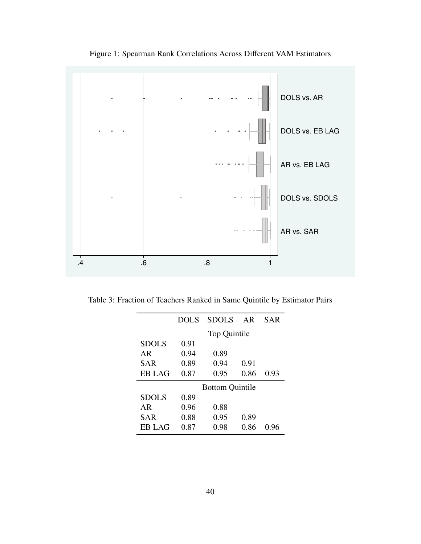

Figure 1: Spearman Rank Correlations Across Different VAM Estimators

Table 3: Fraction of Teachers Ranked in Same Quintile by Estimator Pairs

|              | DOL S | <b>SDOLS</b>           | AR   | SAR  |
|--------------|-------|------------------------|------|------|
|              |       | Top Quintile           |      |      |
| <b>SDOLS</b> | 0.91  |                        |      |      |
| AR.          | 0.94  | 0.89                   |      |      |
| SAR          | 0.89  | 0.94                   | 0.91 |      |
| EB LAG       | 0.87  | 0.95                   | 0.86 | 0.93 |
|              |       | <b>Bottom Quintile</b> |      |      |
| <b>SDOLS</b> | 0.89  |                        |      |      |
| AR.          | 0.96  | 0.88                   |      |      |
| SAR          | 0.88  | 0.95                   | 0.89 |      |
| EB LAG       | 0.87  | 0.98                   | 0.86 | 0.96 |